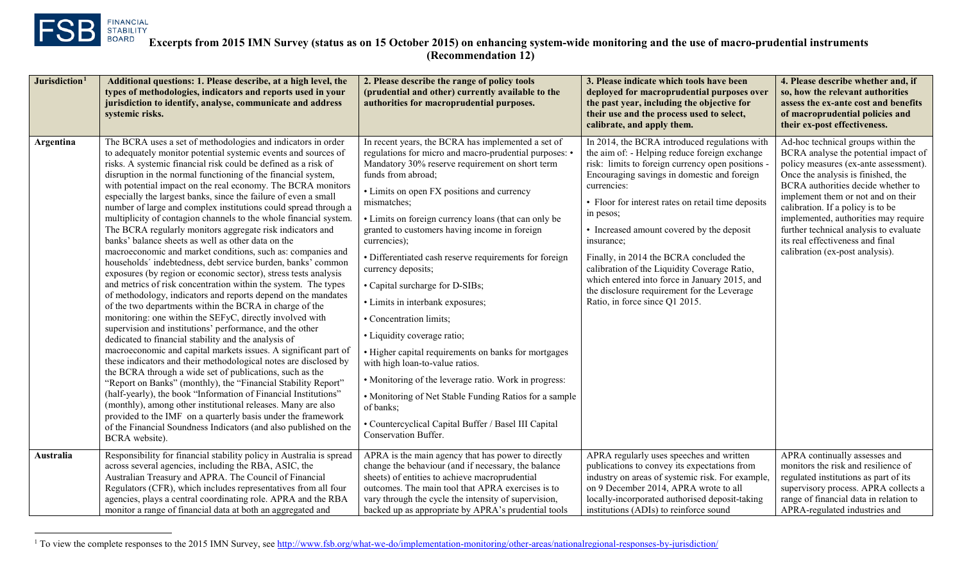<span id="page-0-0"></span>

l

| Jurisdiction <sup>1</sup> | Additional questions: 1. Please describe, at a high level, the<br>types of methodologies, indicators and reports used in your<br>jurisdiction to identify, analyse, communicate and address<br>systemic risks.                                                                                                                                                                                                                                                                                                                                                                                                                                                                                                                                                                                                                                                                                                                                                                                                                                                                                                                                                                                                                                                                                                                                                                                                                                                                                                                                                                                                                                                                                                                                                                                               | 2. Please describe the range of policy tools<br>(prudential and other) currently available to the<br>authorities for macroprudential purposes.                                                                                                                                                                                                                                                                                                                                                                                                                                                                                                                                                                                                                                                                                                                                                          | 3. Please indicate which tools have been<br>deployed for macroprudential purposes over<br>the past year, including the objective for<br>their use and the process used to select,<br>calibrate, and apply them.                                                                                                                                                                                                                                                                                                                                                            | 4. Please describe whether and, if<br>so, how the relevant authorities<br>assess the ex-ante cost and benefits<br>of macroprudential policies and<br>their ex-post effectiveness.                                                                                                                                                                                                                                                   |
|---------------------------|--------------------------------------------------------------------------------------------------------------------------------------------------------------------------------------------------------------------------------------------------------------------------------------------------------------------------------------------------------------------------------------------------------------------------------------------------------------------------------------------------------------------------------------------------------------------------------------------------------------------------------------------------------------------------------------------------------------------------------------------------------------------------------------------------------------------------------------------------------------------------------------------------------------------------------------------------------------------------------------------------------------------------------------------------------------------------------------------------------------------------------------------------------------------------------------------------------------------------------------------------------------------------------------------------------------------------------------------------------------------------------------------------------------------------------------------------------------------------------------------------------------------------------------------------------------------------------------------------------------------------------------------------------------------------------------------------------------------------------------------------------------------------------------------------------------|---------------------------------------------------------------------------------------------------------------------------------------------------------------------------------------------------------------------------------------------------------------------------------------------------------------------------------------------------------------------------------------------------------------------------------------------------------------------------------------------------------------------------------------------------------------------------------------------------------------------------------------------------------------------------------------------------------------------------------------------------------------------------------------------------------------------------------------------------------------------------------------------------------|----------------------------------------------------------------------------------------------------------------------------------------------------------------------------------------------------------------------------------------------------------------------------------------------------------------------------------------------------------------------------------------------------------------------------------------------------------------------------------------------------------------------------------------------------------------------------|-------------------------------------------------------------------------------------------------------------------------------------------------------------------------------------------------------------------------------------------------------------------------------------------------------------------------------------------------------------------------------------------------------------------------------------|
| Argentina                 | The BCRA uses a set of methodologies and indicators in order<br>to adequately monitor potential systemic events and sources of<br>risks. A systemic financial risk could be defined as a risk of<br>disruption in the normal functioning of the financial system,<br>with potential impact on the real economy. The BCRA monitors<br>especially the largest banks, since the failure of even a small<br>number of large and complex institutions could spread through a<br>multiplicity of contagion channels to the whole financial system.<br>The BCRA regularly monitors aggregate risk indicators and<br>banks' balance sheets as well as other data on the<br>macroeconomic and market conditions, such as: companies and<br>households' indebtedness, debt service burden, banks' common<br>exposures (by region or economic sector), stress tests analysis<br>and metrics of risk concentration within the system. The types<br>of methodology, indicators and reports depend on the mandates<br>of the two departments within the BCRA in charge of the<br>monitoring: one within the SEFyC, directly involved with<br>supervision and institutions' performance, and the other<br>dedicated to financial stability and the analysis of<br>macroeconomic and capital markets issues. A significant part of<br>these indicators and their methodological notes are disclosed by<br>the BCRA through a wide set of publications, such as the<br>"Report on Banks" (monthly), the "Financial Stability Report"<br>(half-yearly), the book "Information of Financial Institutions"<br>(monthly), among other institutional releases. Many are also<br>provided to the IMF on a quarterly basis under the framework<br>of the Financial Soundness Indicators (and also published on the<br>BCRA website). | In recent years, the BCRA has implemented a set of<br>regulations for micro and macro-prudential purposes: •<br>Mandatory 30% reserve requirement on short term<br>funds from abroad:<br>• Limits on open FX positions and currency<br>mismatches;<br>• Limits on foreign currency loans (that can only be<br>granted to customers having income in foreign<br>currencies);<br>• Differentiated cash reserve requirements for foreign<br>currency deposits;<br>• Capital surcharge for D-SIBs;<br>• Limits in interbank exposures;<br>• Concentration limits;<br>• Liquidity coverage ratio;<br>• Higher capital requirements on banks for mortgages<br>with high loan-to-value ratios.<br>• Monitoring of the leverage ratio. Work in progress:<br>• Monitoring of Net Stable Funding Ratios for a sample<br>of banks;<br>• Countercyclical Capital Buffer / Basel III Capital<br>Conservation Buffer. | In 2014, the BCRA introduced regulations with<br>the aim of: - Helping reduce foreign exchange<br>risk: limits to foreign currency open positions<br>Encouraging savings in domestic and foreign<br>currencies:<br>• Floor for interest rates on retail time deposits<br>in pesos;<br>• Increased amount covered by the deposit<br>insurance:<br>Finally, in 2014 the BCRA concluded the<br>calibration of the Liquidity Coverage Ratio,<br>which entered into force in January 2015, and<br>the disclosure requirement for the Leverage<br>Ratio, in force since Q1 2015. | Ad-hoc technical groups within the<br>BCRA analyse the potential impact of<br>policy measures (ex-ante assessment).<br>Once the analysis is finished, the<br>BCRA authorities decide whether to<br>implement them or not and on their<br>calibration. If a policy is to be<br>implemented, authorities may require<br>further technical analysis to evaluate<br>its real effectiveness and final<br>calibration (ex-post analysis). |
| Australia                 | Responsibility for financial stability policy in Australia is spread<br>across several agencies, including the RBA, ASIC, the<br>Australian Treasury and APRA. The Council of Financial<br>Regulators (CFR), which includes representatives from all four<br>agencies, plays a central coordinating role. APRA and the RBA<br>monitor a range of financial data at both an aggregated and                                                                                                                                                                                                                                                                                                                                                                                                                                                                                                                                                                                                                                                                                                                                                                                                                                                                                                                                                                                                                                                                                                                                                                                                                                                                                                                                                                                                                    | APRA is the main agency that has power to directly<br>change the behaviour (and if necessary, the balance<br>sheets) of entities to achieve macroprudential<br>outcomes. The main tool that APRA exercises is to<br>vary through the cycle the intensity of supervision,<br>backed up as appropriate by APRA's prudential tools                                                                                                                                                                                                                                                                                                                                                                                                                                                                                                                                                                         | APRA regularly uses speeches and written<br>publications to convey its expectations from<br>industry on areas of systemic risk. For example.<br>on 9 December 2014, APRA wrote to all<br>locally-incorporated authorised deposit-taking<br>institutions (ADIs) to reinforce sound                                                                                                                                                                                                                                                                                          | APRA continually assesses and<br>monitors the risk and resilience of<br>regulated institutions as part of its<br>supervisory process. APRA collects a<br>range of financial data in relation to<br>APRA-regulated industries and                                                                                                                                                                                                    |

<sup>&</sup>lt;sup>1</sup> To view the complete responses to the 2015 IMN Survey, see <http://www.fsb.org/what-we-do/implementation-monitoring/other-areas/nationalregional-responses-by-jurisdiction/>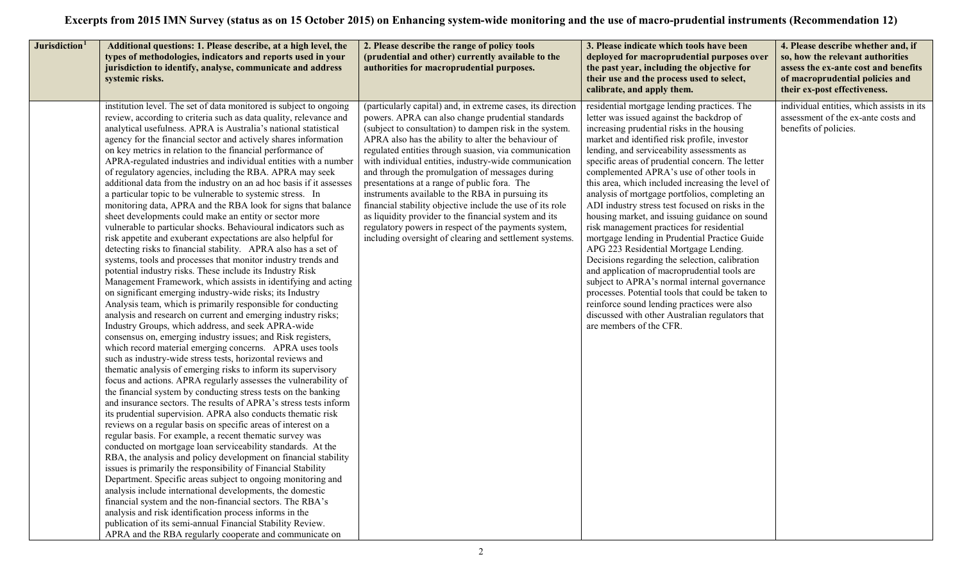| Jurisdiction <sup>1</sup> | Additional questions: 1. Please describe, at a high level, the<br>types of methodologies, indicators and reports used in your<br>jurisdiction to identify, analyse, communicate and address<br>systemic risks.                                                                                                                                                                                                                                                                                                                                                                                                                                                                                                                                                                                                                                                                                                                                                                                                                                                                                                                                                                                                                                                                                                                                                                                                                                                                                                                                                                                                                                                                                                                                                                                                                                                                                                                                                                                                                                                                                                                                                                                                                                                                                                                                                                                                                                                                                                                                                                                                                                       | 2. Please describe the range of policy tools<br>(prudential and other) currently available to the<br>authorities for macroprudential purposes.                                                                                                                                                                                                                                                                                                                                                                                                                                                                                                                                                                                                       | 3. Please indicate which tools have been<br>deployed for macroprudential purposes over<br>the past year, including the objective for<br>their use and the process used to select,<br>calibrate, and apply them.                                                                                                                                                                                                                                                                                                                                                                                                                                                                                                                                                                                                                                                                                                                                                                                                              | 4. Please describe whether and, if<br>so, how the relevant authorities<br>assess the ex-ante cost and benefits<br>of macroprudential policies and<br>their ex-post effectiveness. |
|---------------------------|------------------------------------------------------------------------------------------------------------------------------------------------------------------------------------------------------------------------------------------------------------------------------------------------------------------------------------------------------------------------------------------------------------------------------------------------------------------------------------------------------------------------------------------------------------------------------------------------------------------------------------------------------------------------------------------------------------------------------------------------------------------------------------------------------------------------------------------------------------------------------------------------------------------------------------------------------------------------------------------------------------------------------------------------------------------------------------------------------------------------------------------------------------------------------------------------------------------------------------------------------------------------------------------------------------------------------------------------------------------------------------------------------------------------------------------------------------------------------------------------------------------------------------------------------------------------------------------------------------------------------------------------------------------------------------------------------------------------------------------------------------------------------------------------------------------------------------------------------------------------------------------------------------------------------------------------------------------------------------------------------------------------------------------------------------------------------------------------------------------------------------------------------------------------------------------------------------------------------------------------------------------------------------------------------------------------------------------------------------------------------------------------------------------------------------------------------------------------------------------------------------------------------------------------------------------------------------------------------------------------------------------------------|------------------------------------------------------------------------------------------------------------------------------------------------------------------------------------------------------------------------------------------------------------------------------------------------------------------------------------------------------------------------------------------------------------------------------------------------------------------------------------------------------------------------------------------------------------------------------------------------------------------------------------------------------------------------------------------------------------------------------------------------------|------------------------------------------------------------------------------------------------------------------------------------------------------------------------------------------------------------------------------------------------------------------------------------------------------------------------------------------------------------------------------------------------------------------------------------------------------------------------------------------------------------------------------------------------------------------------------------------------------------------------------------------------------------------------------------------------------------------------------------------------------------------------------------------------------------------------------------------------------------------------------------------------------------------------------------------------------------------------------------------------------------------------------|-----------------------------------------------------------------------------------------------------------------------------------------------------------------------------------|
|                           | institution level. The set of data monitored is subject to ongoing<br>review, according to criteria such as data quality, relevance and<br>analytical usefulness. APRA is Australia's national statistical<br>agency for the financial sector and actively shares information<br>on key metrics in relation to the financial performance of<br>APRA-regulated industries and individual entities with a number<br>of regulatory agencies, including the RBA. APRA may seek<br>additional data from the industry on an ad hoc basis if it assesses<br>a particular topic to be vulnerable to systemic stress. In<br>monitoring data, APRA and the RBA look for signs that balance<br>sheet developments could make an entity or sector more<br>vulnerable to particular shocks. Behavioural indicators such as<br>risk appetite and exuberant expectations are also helpful for<br>detecting risks to financial stability. APRA also has a set of<br>systems, tools and processes that monitor industry trends and<br>potential industry risks. These include its Industry Risk<br>Management Framework, which assists in identifying and acting<br>on significant emerging industry-wide risks; its Industry<br>Analysis team, which is primarily responsible for conducting<br>analysis and research on current and emerging industry risks;<br>Industry Groups, which address, and seek APRA-wide<br>consensus on, emerging industry issues; and Risk registers,<br>which record material emerging concerns. APRA uses tools<br>such as industry-wide stress tests, horizontal reviews and<br>thematic analysis of emerging risks to inform its supervisory<br>focus and actions. APRA regularly assesses the vulnerability of<br>the financial system by conducting stress tests on the banking<br>and insurance sectors. The results of APRA's stress tests inform<br>its prudential supervision. APRA also conducts thematic risk<br>reviews on a regular basis on specific areas of interest on a<br>regular basis. For example, a recent thematic survey was<br>conducted on mortgage loan serviceability standards. At the<br>RBA, the analysis and policy development on financial stability<br>issues is primarily the responsibility of Financial Stability<br>Department. Specific areas subject to ongoing monitoring and<br>analysis include international developments, the domestic<br>financial system and the non-financial sectors. The RBA's<br>analysis and risk identification process informs in the<br>publication of its semi-annual Financial Stability Review.<br>APRA and the RBA regularly cooperate and communicate on | (particularly capital) and, in extreme cases, its direction<br>powers. APRA can also change prudential standards<br>(subject to consultation) to dampen risk in the system.<br>APRA also has the ability to alter the behaviour of<br>regulated entities through suasion, via communication<br>with individual entities, industry-wide communication<br>and through the promulgation of messages during<br>presentations at a range of public fora. The<br>instruments available to the RBA in pursuing its<br>financial stability objective include the use of its role<br>as liquidity provider to the financial system and its<br>regulatory powers in respect of the payments system,<br>including oversight of clearing and settlement systems. | residential mortgage lending practices. The<br>letter was issued against the backdrop of<br>increasing prudential risks in the housing<br>market and identified risk profile, investor<br>lending, and serviceability assessments as<br>specific areas of prudential concern. The letter<br>complemented APRA's use of other tools in<br>this area, which included increasing the level of<br>analysis of mortgage portfolios, completing an<br>ADI industry stress test focused on risks in the<br>housing market, and issuing guidance on sound<br>risk management practices for residential<br>mortgage lending in Prudential Practice Guide<br>APG 223 Residential Mortgage Lending.<br>Decisions regarding the selection, calibration<br>and application of macroprudential tools are<br>subject to APRA's normal internal governance<br>processes. Potential tools that could be taken to<br>reinforce sound lending practices were also<br>discussed with other Australian regulators that<br>are members of the CFR. | individual entities, which assists in its<br>assessment of the ex-ante costs and<br>benefits of policies.                                                                         |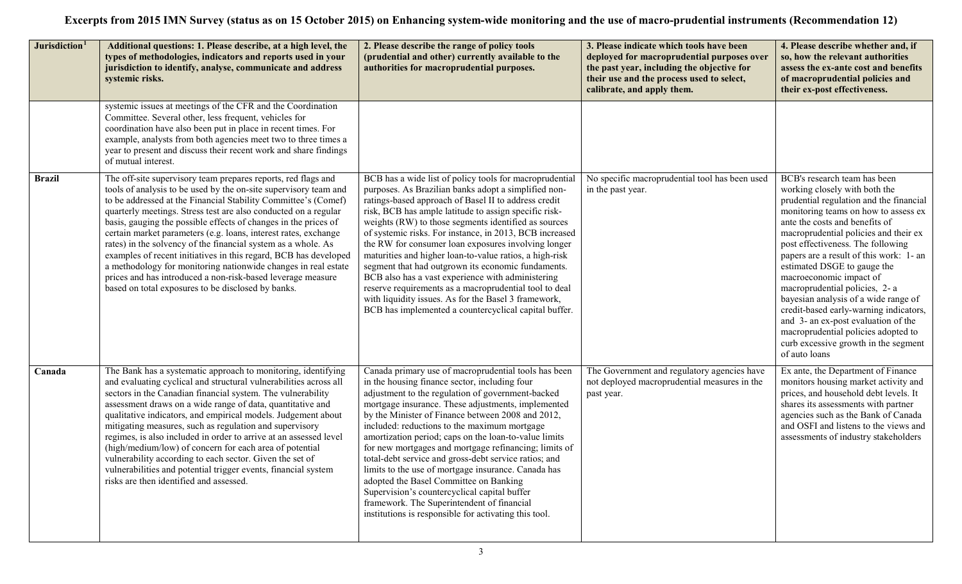| Jurisdiction <sup>1</sup> | Additional questions: 1. Please describe, at a high level, the<br>types of methodologies, indicators and reports used in your<br>jurisdiction to identify, analyse, communicate and address<br>systemic risks.                                                                                                                                                                                                                                                                                                                                                                                                                                                                                                                           | 2. Please describe the range of policy tools<br>(prudential and other) currently available to the<br>authorities for macroprudential purposes.                                                                                                                                                                                                                                                                                                                                                                                                                                                                                                                                                                                                              | 3. Please indicate which tools have been<br>deployed for macroprudential purposes over<br>the past year, including the objective for<br>their use and the process used to select,<br>calibrate, and apply them. | 4. Please describe whether and, if<br>so, how the relevant authorities<br>assess the ex-ante cost and benefits<br>of macroprudential policies and<br>their ex-post effectiveness.                                                                                                                                                                                                                                                                                                                                                                                                                                                |
|---------------------------|------------------------------------------------------------------------------------------------------------------------------------------------------------------------------------------------------------------------------------------------------------------------------------------------------------------------------------------------------------------------------------------------------------------------------------------------------------------------------------------------------------------------------------------------------------------------------------------------------------------------------------------------------------------------------------------------------------------------------------------|-------------------------------------------------------------------------------------------------------------------------------------------------------------------------------------------------------------------------------------------------------------------------------------------------------------------------------------------------------------------------------------------------------------------------------------------------------------------------------------------------------------------------------------------------------------------------------------------------------------------------------------------------------------------------------------------------------------------------------------------------------------|-----------------------------------------------------------------------------------------------------------------------------------------------------------------------------------------------------------------|----------------------------------------------------------------------------------------------------------------------------------------------------------------------------------------------------------------------------------------------------------------------------------------------------------------------------------------------------------------------------------------------------------------------------------------------------------------------------------------------------------------------------------------------------------------------------------------------------------------------------------|
|                           | systemic issues at meetings of the CFR and the Coordination<br>Committee. Several other, less frequent, vehicles for<br>coordination have also been put in place in recent times. For<br>example, analysts from both agencies meet two to three times a<br>year to present and discuss their recent work and share findings<br>of mutual interest.                                                                                                                                                                                                                                                                                                                                                                                       |                                                                                                                                                                                                                                                                                                                                                                                                                                                                                                                                                                                                                                                                                                                                                             |                                                                                                                                                                                                                 |                                                                                                                                                                                                                                                                                                                                                                                                                                                                                                                                                                                                                                  |
| <b>Brazil</b>             | The off-site supervisory team prepares reports, red flags and<br>tools of analysis to be used by the on-site supervisory team and<br>to be addressed at the Financial Stability Committee's (Comef)<br>quarterly meetings. Stress test are also conducted on a regular<br>basis, gauging the possible effects of changes in the prices of<br>certain market parameters (e.g. loans, interest rates, exchange<br>rates) in the solvency of the financial system as a whole. As<br>examples of recent initiatives in this regard, BCB has developed<br>a methodology for monitoring nationwide changes in real estate<br>prices and has introduced a non-risk-based leverage measure<br>based on total exposures to be disclosed by banks. | BCB has a wide list of policy tools for macroprudential<br>purposes. As Brazilian banks adopt a simplified non-<br>ratings-based approach of Basel II to address credit<br>risk, BCB has ample latitude to assign specific risk-<br>weights (RW) to those segments identified as sources<br>of systemic risks. For instance, in 2013, BCB increased<br>the RW for consumer loan exposures involving longer<br>maturities and higher loan-to-value ratios, a high-risk<br>segment that had outgrown its economic fundaments.<br>BCB also has a vast experience with administering<br>reserve requirements as a macroprudential tool to deal<br>with liquidity issues. As for the Basel 3 framework,<br>BCB has implemented a countercyclical capital buffer. | No specific macroprudential tool has been used<br>in the past year.                                                                                                                                             | BCB's research team has been<br>working closely with both the<br>prudential regulation and the financial<br>monitoring teams on how to assess ex<br>ante the costs and benefits of<br>macroprudential policies and their ex<br>post effectiveness. The following<br>papers are a result of this work: 1- an<br>estimated DSGE to gauge the<br>macroeconomic impact of<br>macroprudential policies, 2- a<br>bayesian analysis of a wide range of<br>credit-based early-warning indicators,<br>and 3- an ex-post evaluation of the<br>macroprudential policies adopted to<br>curb excessive growth in the segment<br>of auto loans |
| Canada                    | The Bank has a systematic approach to monitoring, identifying<br>and evaluating cyclical and structural vulnerabilities across all<br>sectors in the Canadian financial system. The vulnerability<br>assessment draws on a wide range of data, quantitative and<br>qualitative indicators, and empirical models. Judgement about<br>mitigating measures, such as regulation and supervisory<br>regimes, is also included in order to arrive at an assessed level<br>(high/medium/low) of concern for each area of potential<br>vulnerability according to each sector. Given the set of<br>vulnerabilities and potential trigger events, financial system<br>risks are then identified and assessed.                                     | Canada primary use of macroprudential tools has been<br>in the housing finance sector, including four<br>adjustment to the regulation of government-backed<br>mortgage insurance. These adjustments, implemented<br>by the Minister of Finance between 2008 and 2012,<br>included: reductions to the maximum mortgage<br>amortization period; caps on the loan-to-value limits<br>for new mortgages and mortgage refinancing; limits of<br>total-debt service and gross-debt service ratios; and<br>limits to the use of mortgage insurance. Canada has<br>adopted the Basel Committee on Banking<br>Supervision's countercyclical capital buffer<br>framework. The Superintendent of financial<br>institutions is responsible for activating this tool.    | The Government and regulatory agencies have<br>not deployed macroprudential measures in the<br>past year.                                                                                                       | Ex ante, the Department of Finance<br>monitors housing market activity and<br>prices, and household debt levels. It<br>shares its assessments with partner<br>agencies such as the Bank of Canada<br>and OSFI and listens to the views and<br>assessments of industry stakeholders                                                                                                                                                                                                                                                                                                                                               |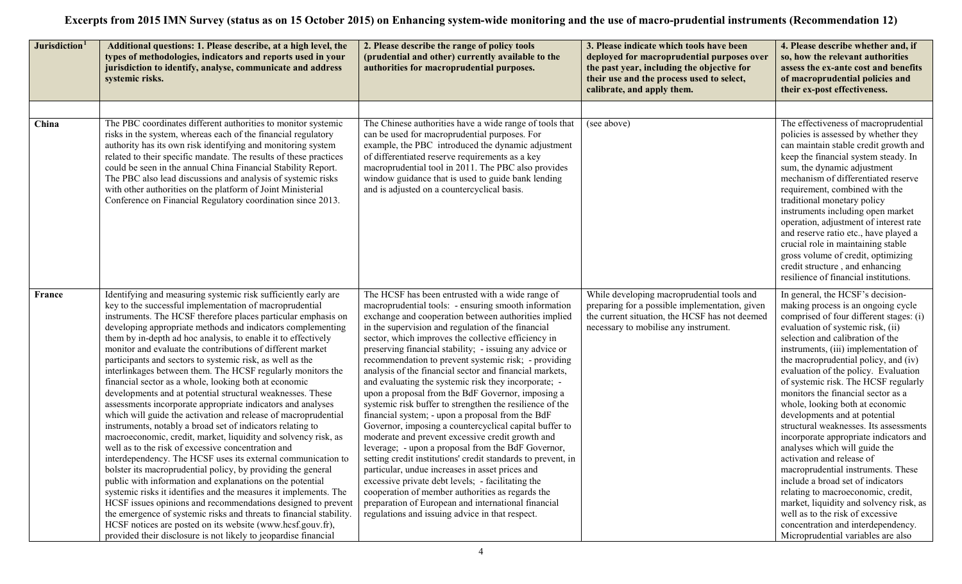| Jurisdiction <sup>1</sup> | Additional questions: 1. Please describe, at a high level, the<br>types of methodologies, indicators and reports used in your<br>jurisdiction to identify, analyse, communicate and address<br>systemic risks.                                                                                                                                                                                                                                                                                                                                                                                                                                                                                                                                                                                                                                                                                                                                                                                                                                                                                                                                                                                                                                                                                                                                                                                                                                                                                              | 2. Please describe the range of policy tools<br>(prudential and other) currently available to the<br>authorities for macroprudential purposes.                                                                                                                                                                                                                                                                                                                                                                                                                                                                                                                                                                                                                                                                                                                                                                                                                                                                                                                                                                                                                                                     | 3. Please indicate which tools have been<br>deployed for macroprudential purposes over<br>the past year, including the objective for<br>their use and the process used to select,<br>calibrate, and apply them. | 4. Please describe whether and, if<br>so, how the relevant authorities<br>assess the ex-ante cost and benefits<br>of macroprudential policies and<br>their ex-post effectiveness.                                                                                                                                                                                                                                                                                                                                                                                                                                                                                                                                                                                                                                                                                                                  |
|---------------------------|-------------------------------------------------------------------------------------------------------------------------------------------------------------------------------------------------------------------------------------------------------------------------------------------------------------------------------------------------------------------------------------------------------------------------------------------------------------------------------------------------------------------------------------------------------------------------------------------------------------------------------------------------------------------------------------------------------------------------------------------------------------------------------------------------------------------------------------------------------------------------------------------------------------------------------------------------------------------------------------------------------------------------------------------------------------------------------------------------------------------------------------------------------------------------------------------------------------------------------------------------------------------------------------------------------------------------------------------------------------------------------------------------------------------------------------------------------------------------------------------------------------|----------------------------------------------------------------------------------------------------------------------------------------------------------------------------------------------------------------------------------------------------------------------------------------------------------------------------------------------------------------------------------------------------------------------------------------------------------------------------------------------------------------------------------------------------------------------------------------------------------------------------------------------------------------------------------------------------------------------------------------------------------------------------------------------------------------------------------------------------------------------------------------------------------------------------------------------------------------------------------------------------------------------------------------------------------------------------------------------------------------------------------------------------------------------------------------------------|-----------------------------------------------------------------------------------------------------------------------------------------------------------------------------------------------------------------|----------------------------------------------------------------------------------------------------------------------------------------------------------------------------------------------------------------------------------------------------------------------------------------------------------------------------------------------------------------------------------------------------------------------------------------------------------------------------------------------------------------------------------------------------------------------------------------------------------------------------------------------------------------------------------------------------------------------------------------------------------------------------------------------------------------------------------------------------------------------------------------------------|
| China                     | The PBC coordinates different authorities to monitor systemic<br>risks in the system, whereas each of the financial regulatory<br>authority has its own risk identifying and monitoring system<br>related to their specific mandate. The results of these practices<br>could be seen in the annual China Financial Stability Report.<br>The PBC also lead discussions and analysis of systemic risks<br>with other authorities on the platform of Joint Ministerial<br>Conference on Financial Regulatory coordination since 2013.                                                                                                                                                                                                                                                                                                                                                                                                                                                                                                                                                                                                                                                                                                                                                                                                                                                                                                                                                                          | The Chinese authorities have a wide range of tools that<br>can be used for macroprudential purposes. For<br>example, the PBC introduced the dynamic adjustment<br>of differentiated reserve requirements as a key<br>macroprudential tool in 2011. The PBC also provides<br>window guidance that is used to guide bank lending<br>and is adjusted on a countercyclical basis.                                                                                                                                                                                                                                                                                                                                                                                                                                                                                                                                                                                                                                                                                                                                                                                                                      | (see above)                                                                                                                                                                                                     | The effectiveness of macroprudential<br>policies is assessed by whether they<br>can maintain stable credit growth and<br>keep the financial system steady. In<br>sum, the dynamic adjustment<br>mechanism of differentiated reserve<br>requirement, combined with the<br>traditional monetary policy<br>instruments including open market<br>operation, adjustment of interest rate<br>and reserve ratio etc., have played a<br>crucial role in maintaining stable<br>gross volume of credit, optimizing<br>credit structure, and enhancing<br>resilience of financial institutions.                                                                                                                                                                                                                                                                                                               |
| France                    | Identifying and measuring systemic risk sufficiently early are<br>key to the successful implementation of macroprudential<br>instruments. The HCSF therefore places particular emphasis on<br>developing appropriate methods and indicators complementing<br>them by in-depth ad hoc analysis, to enable it to effectively<br>monitor and evaluate the contributions of different market<br>participants and sectors to systemic risk, as well as the<br>interlinkages between them. The HCSF regularly monitors the<br>financial sector as a whole, looking both at economic<br>developments and at potential structural weaknesses. These<br>assessments incorporate appropriate indicators and analyses<br>which will guide the activation and release of macroprudential<br>instruments, notably a broad set of indicators relating to<br>macroeconomic, credit, market, liquidity and solvency risk, as<br>well as to the risk of excessive concentration and<br>interdependency. The HCSF uses its external communication to<br>bolster its macroprudential policy, by providing the general<br>public with information and explanations on the potential<br>systemic risks it identifies and the measures it implements. The<br>HCSF issues opinions and recommendations designed to prevent<br>the emergence of systemic risks and threats to financial stability.<br>HCSF notices are posted on its website (www.hcsf.gouv.fr),<br>provided their disclosure is not likely to jeopardise financial | The HCSF has been entrusted with a wide range of<br>macroprudential tools: - ensuring smooth information<br>exchange and cooperation between authorities implied<br>in the supervision and regulation of the financial<br>sector, which improves the collective efficiency in<br>preserving financial stability; - issuing any advice or<br>recommendation to prevent systemic risk; - providing<br>analysis of the financial sector and financial markets,<br>and evaluating the systemic risk they incorporate; -<br>upon a proposal from the BdF Governor, imposing a<br>systemic risk buffer to strengthen the resilience of the<br>financial system; - upon a proposal from the BdF<br>Governor, imposing a countercyclical capital buffer to<br>moderate and prevent excessive credit growth and<br>leverage; - upon a proposal from the BdF Governor,<br>setting credit institutions' credit standards to prevent, in<br>particular, undue increases in asset prices and<br>excessive private debt levels; - facilitating the<br>cooperation of member authorities as regards the<br>preparation of European and international financial<br>regulations and issuing advice in that respect. | While developing macroprudential tools and<br>preparing for a possible implementation, given<br>the current situation, the HCSF has not deemed<br>necessary to mobilise any instrument.                         | In general, the HCSF's decision-<br>making process is an ongoing cycle<br>comprised of four different stages: (i)<br>evaluation of systemic risk, (ii)<br>selection and calibration of the<br>instruments, (iii) implementation of<br>the macroprudential policy, and (iv)<br>evaluation of the policy. Evaluation<br>of systemic risk. The HCSF regularly<br>monitors the financial sector as a<br>whole, looking both at economic<br>developments and at potential<br>structural weaknesses. Its assessments<br>incorporate appropriate indicators and<br>analyses which will guide the<br>activation and release of<br>macroprudential instruments. These<br>include a broad set of indicators<br>relating to macroeconomic, credit,<br>market, liquidity and solvency risk, as<br>well as to the risk of excessive<br>concentration and interdependency.<br>Microprudential variables are also |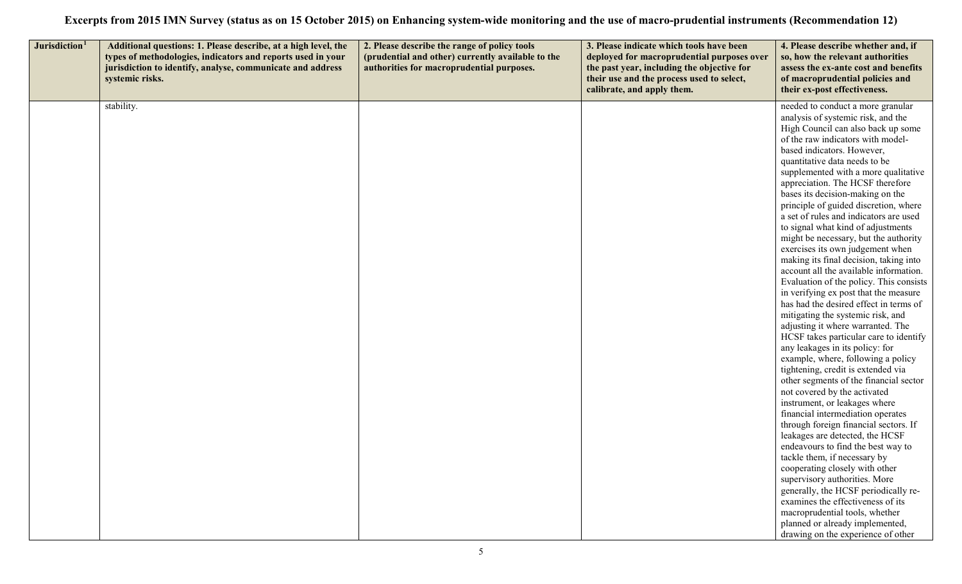| Jurisdiction <sup>1</sup> | Additional questions: 1. Please describe, at a high level, the<br>types of methodologies, indicators and reports used in your<br>jurisdiction to identify, analyse, communicate and address<br>systemic risks. | 2. Please describe the range of policy tools<br>(prudential and other) currently available to the<br>authorities for macroprudential purposes. | 3. Please indicate which tools have been<br>deployed for macroprudential purposes over<br>the past year, including the objective for<br>their use and the process used to select,<br>calibrate, and apply them. | 4. Please describe whether and, if<br>so, how the relevant authorities<br>assess the ex-ante cost and benefits<br>of macroprudential policies and<br>their ex-post effectiveness.                                                                                                                                                                                                                                                                                                                                                                                                                                                                                                                                                                                                                                                                                                                                                                                                                                                                                                                                                                                                                                                                                                                                                                                                                                                                                                                                                                         |
|---------------------------|----------------------------------------------------------------------------------------------------------------------------------------------------------------------------------------------------------------|------------------------------------------------------------------------------------------------------------------------------------------------|-----------------------------------------------------------------------------------------------------------------------------------------------------------------------------------------------------------------|-----------------------------------------------------------------------------------------------------------------------------------------------------------------------------------------------------------------------------------------------------------------------------------------------------------------------------------------------------------------------------------------------------------------------------------------------------------------------------------------------------------------------------------------------------------------------------------------------------------------------------------------------------------------------------------------------------------------------------------------------------------------------------------------------------------------------------------------------------------------------------------------------------------------------------------------------------------------------------------------------------------------------------------------------------------------------------------------------------------------------------------------------------------------------------------------------------------------------------------------------------------------------------------------------------------------------------------------------------------------------------------------------------------------------------------------------------------------------------------------------------------------------------------------------------------|
|                           | stability.                                                                                                                                                                                                     |                                                                                                                                                |                                                                                                                                                                                                                 | needed to conduct a more granular<br>analysis of systemic risk, and the<br>High Council can also back up some<br>of the raw indicators with model-<br>based indicators. However,<br>quantitative data needs to be<br>supplemented with a more qualitative<br>appreciation. The HCSF therefore<br>bases its decision-making on the<br>principle of guided discretion, where<br>a set of rules and indicators are used<br>to signal what kind of adjustments<br>might be necessary, but the authority<br>exercises its own judgement when<br>making its final decision, taking into<br>account all the available information.<br>Evaluation of the policy. This consists<br>in verifying ex post that the measure<br>has had the desired effect in terms of<br>mitigating the systemic risk, and<br>adjusting it where warranted. The<br>HCSF takes particular care to identify<br>any leakages in its policy: for<br>example, where, following a policy<br>tightening, credit is extended via<br>other segments of the financial sector<br>not covered by the activated<br>instrument, or leakages where<br>financial intermediation operates<br>through foreign financial sectors. If<br>leakages are detected, the HCSF<br>endeavours to find the best way to<br>tackle them, if necessary by<br>cooperating closely with other<br>supervisory authorities. More<br>generally, the HCSF periodically re-<br>examines the effectiveness of its<br>macroprudential tools, whether<br>planned or already implemented,<br>drawing on the experience of other |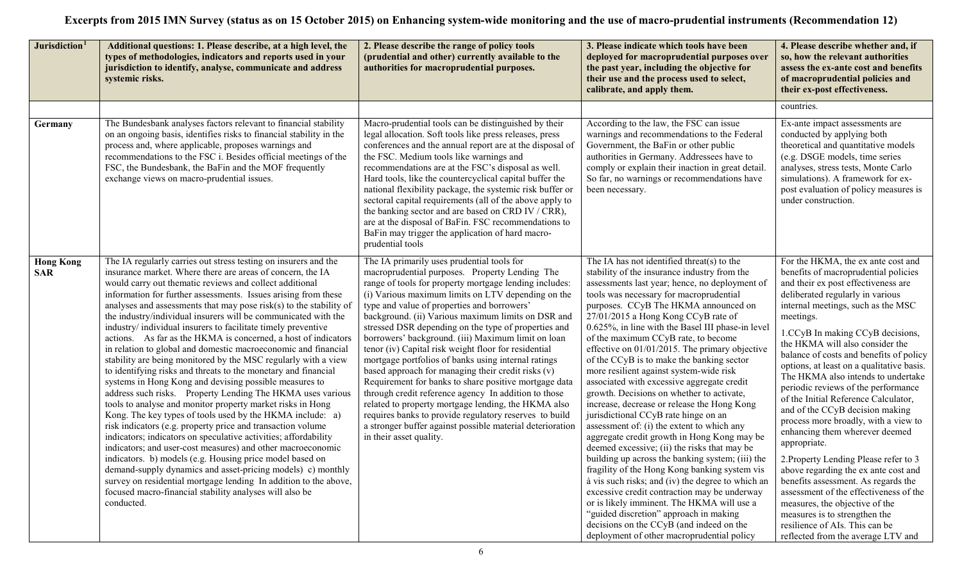| Jurisdiction <sup>1</sup>      | Additional questions: 1. Please describe, at a high level, the<br>types of methodologies, indicators and reports used in your<br>jurisdiction to identify, analyse, communicate and address<br>systemic risks.                                                                                                                                                                                                                                                                                                                                                                                                                                                                                                                                                                                                                                                                                                                                                                                                                                                                                                                                                                                                                                                                                                                                                                                                                                                           | 2. Please describe the range of policy tools<br>(prudential and other) currently available to the<br>authorities for macroprudential purposes.                                                                                                                                                                                                                                                                                                                                                                                                                                                                                                                                                                                                                                                                                                                                                                                 | 3. Please indicate which tools have been<br>deployed for macroprudential purposes over<br>the past year, including the objective for<br>their use and the process used to select,<br>calibrate, and apply them.                                                                                                                                                                                                                                                                                                                                                                                                                                                                                                                                                                                                                                                                                                                                                                                                                                                                                                                                                                                                                            | 4. Please describe whether and, if<br>so, how the relevant authorities<br>assess the ex-ante cost and benefits<br>of macroprudential policies and<br>their ex-post effectiveness.                                                                                                                                                                                                                                                                                                                                                                                                                                                                                                                                                                                                                                                                                                                                                      |
|--------------------------------|--------------------------------------------------------------------------------------------------------------------------------------------------------------------------------------------------------------------------------------------------------------------------------------------------------------------------------------------------------------------------------------------------------------------------------------------------------------------------------------------------------------------------------------------------------------------------------------------------------------------------------------------------------------------------------------------------------------------------------------------------------------------------------------------------------------------------------------------------------------------------------------------------------------------------------------------------------------------------------------------------------------------------------------------------------------------------------------------------------------------------------------------------------------------------------------------------------------------------------------------------------------------------------------------------------------------------------------------------------------------------------------------------------------------------------------------------------------------------|--------------------------------------------------------------------------------------------------------------------------------------------------------------------------------------------------------------------------------------------------------------------------------------------------------------------------------------------------------------------------------------------------------------------------------------------------------------------------------------------------------------------------------------------------------------------------------------------------------------------------------------------------------------------------------------------------------------------------------------------------------------------------------------------------------------------------------------------------------------------------------------------------------------------------------|--------------------------------------------------------------------------------------------------------------------------------------------------------------------------------------------------------------------------------------------------------------------------------------------------------------------------------------------------------------------------------------------------------------------------------------------------------------------------------------------------------------------------------------------------------------------------------------------------------------------------------------------------------------------------------------------------------------------------------------------------------------------------------------------------------------------------------------------------------------------------------------------------------------------------------------------------------------------------------------------------------------------------------------------------------------------------------------------------------------------------------------------------------------------------------------------------------------------------------------------|----------------------------------------------------------------------------------------------------------------------------------------------------------------------------------------------------------------------------------------------------------------------------------------------------------------------------------------------------------------------------------------------------------------------------------------------------------------------------------------------------------------------------------------------------------------------------------------------------------------------------------------------------------------------------------------------------------------------------------------------------------------------------------------------------------------------------------------------------------------------------------------------------------------------------------------|
|                                |                                                                                                                                                                                                                                                                                                                                                                                                                                                                                                                                                                                                                                                                                                                                                                                                                                                                                                                                                                                                                                                                                                                                                                                                                                                                                                                                                                                                                                                                          |                                                                                                                                                                                                                                                                                                                                                                                                                                                                                                                                                                                                                                                                                                                                                                                                                                                                                                                                |                                                                                                                                                                                                                                                                                                                                                                                                                                                                                                                                                                                                                                                                                                                                                                                                                                                                                                                                                                                                                                                                                                                                                                                                                                            | countries.                                                                                                                                                                                                                                                                                                                                                                                                                                                                                                                                                                                                                                                                                                                                                                                                                                                                                                                             |
| Germany                        | The Bundesbank analyses factors relevant to financial stability<br>on an ongoing basis, identifies risks to financial stability in the<br>process and, where applicable, proposes warnings and<br>recommendations to the FSC i. Besides official meetings of the<br>FSC, the Bundesbank, the BaFin and the MOF frequently<br>exchange views on macro-prudential issues.                                                                                                                                                                                                                                                                                                                                                                                                                                                                                                                                                                                                                                                                                                                                                                                                                                                                                                                                                                                                                                                                                                  | Macro-prudential tools can be distinguished by their<br>legal allocation. Soft tools like press releases, press<br>conferences and the annual report are at the disposal of<br>the FSC. Medium tools like warnings and<br>recommendations are at the FSC's disposal as well.<br>Hard tools, like the countercyclical capital buffer the<br>national flexibility package, the systemic risk buffer or<br>sectoral capital requirements (all of the above apply to<br>the banking sector and are based on CRD IV / CRR),<br>are at the disposal of BaFin. FSC recommendations to<br>BaFin may trigger the application of hard macro-<br>prudential tools                                                                                                                                                                                                                                                                         | According to the law, the FSC can issue<br>warnings and recommendations to the Federal<br>Government, the BaFin or other public<br>authorities in Germany. Addressees have to<br>comply or explain their inaction in great detail.<br>So far, no warnings or recommendations have<br>been necessary.                                                                                                                                                                                                                                                                                                                                                                                                                                                                                                                                                                                                                                                                                                                                                                                                                                                                                                                                       | Ex-ante impact assessments are<br>conducted by applying both<br>theoretical and quantitative models<br>(e.g. DSGE models, time series<br>analyses, stress tests, Monte Carlo<br>simulations). A framework for ex-<br>post evaluation of policy measures is<br>under construction.                                                                                                                                                                                                                                                                                                                                                                                                                                                                                                                                                                                                                                                      |
| <b>Hong Kong</b><br><b>SAR</b> | The IA regularly carries out stress testing on insurers and the<br>insurance market. Where there are areas of concern, the IA<br>would carry out thematic reviews and collect additional<br>information for further assessments. Issues arising from these<br>analyses and assessments that may pose risk(s) to the stability of<br>the industry/individual insurers will be communicated with the<br>industry/ individual insurers to facilitate timely preventive<br>actions. As far as the HKMA is concerned, a host of indicators<br>in relation to global and domestic macroeconomic and financial<br>stability are being monitored by the MSC regularly with a view<br>to identifying risks and threats to the monetary and financial<br>systems in Hong Kong and devising possible measures to<br>address such risks. Property Lending The HKMA uses various<br>tools to analyse and monitor property market risks in Hong<br>Kong. The key types of tools used by the HKMA include: a)<br>risk indicators (e.g. property price and transaction volume)<br>indicators; indicators on speculative activities; affordability<br>indicators; and user-cost measures) and other macroeconomic<br>indicators. b) models (e.g. Housing price model based on<br>demand-supply dynamics and asset-pricing models) c) monthly<br>survey on residential mortgage lending In addition to the above,<br>focused macro-financial stability analyses will also be<br>conducted. | The IA primarily uses prudential tools for<br>macroprudential purposes. Property Lending The<br>range of tools for property mortgage lending includes:<br>(i) Various maximum limits on LTV depending on the<br>type and value of properties and borrowers'<br>background. (ii) Various maximum limits on DSR and<br>stressed DSR depending on the type of properties and<br>borrowers' background. (iii) Maximum limit on loan<br>tenor (iv) Capital risk weight floor for residential<br>mortgage portfolios of banks using internal ratings<br>based approach for managing their credit risks (v)<br>Requirement for banks to share positive mortgage data<br>through credit reference agency In addition to those<br>related to property mortgage lending, the HKMA also<br>requires banks to provide regulatory reserves to build<br>a stronger buffer against possible material deterioration<br>in their asset quality. | The IA has not identified threat(s) to the<br>stability of the insurance industry from the<br>assessments last year; hence, no deployment of<br>tools was necessary for macroprudential<br>purposes. CCyB The HKMA announced on<br>27/01/2015 a Hong Kong CCyB rate of<br>0.625%, in line with the Basel III phase-in level<br>of the maximum CCyB rate, to become<br>effective on $01/01/2015$ . The primary objective<br>of the CCyB is to make the banking sector<br>more resilient against system-wide risk<br>associated with excessive aggregate credit<br>growth. Decisions on whether to activate,<br>increase, decrease or release the Hong Kong<br>jurisdictional CCyB rate hinge on an<br>assessment of: (i) the extent to which any<br>aggregate credit growth in Hong Kong may be<br>deemed excessive; (ii) the risks that may be<br>building up across the banking system; (iii) the<br>fragility of the Hong Kong banking system vis<br>à vis such risks; and (iv) the degree to which an<br>excessive credit contraction may be underway<br>or is likely imminent. The HKMA will use a<br>"guided discretion" approach in making<br>decisions on the CCyB (and indeed on the<br>deployment of other macroprudential policy | For the HKMA, the ex ante cost and<br>benefits of macroprudential policies<br>and their ex post effectiveness are<br>deliberated regularly in various<br>internal meetings, such as the MSC<br>meetings.<br>1.CCyB In making CCyB decisions,<br>the HKMA will also consider the<br>balance of costs and benefits of policy<br>options, at least on a qualitative basis.<br>The HKMA also intends to undertake<br>periodic reviews of the performance<br>of the Initial Reference Calculator,<br>and of the CCyB decision making<br>process more broadly, with a view to<br>enhancing them wherever deemed<br>appropriate.<br>2. Property Lending Please refer to 3<br>above regarding the ex ante cost and<br>benefits assessment. As regards the<br>assessment of the effectiveness of the<br>measures, the objective of the<br>measures is to strengthen the<br>resilience of AIs. This can be<br>reflected from the average LTV and |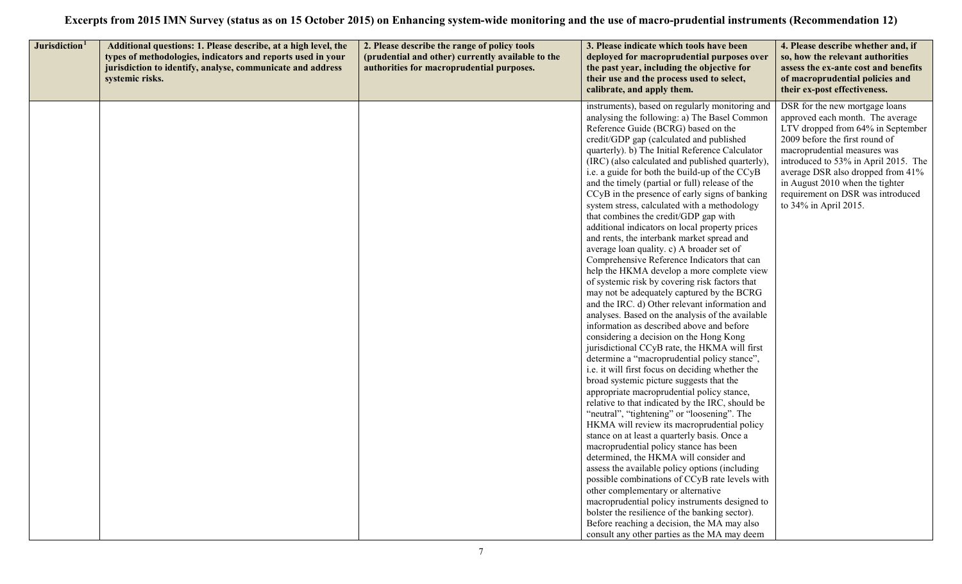| Jurisdiction <sup>1</sup> | Additional questions: 1. Please describe, at a high level, the<br>types of methodologies, indicators and reports used in your<br>jurisdiction to identify, analyse, communicate and address<br>systemic risks. | 2. Please describe the range of policy tools<br>(prudential and other) currently available to the<br>authorities for macroprudential purposes. | 3. Please indicate which tools have been<br>deployed for macroprudential purposes over<br>the past year, including the objective for<br>their use and the process used to select,<br>calibrate, and apply them.                                                                                                                                                                                                                                                                                                                                                                                                                                                                                                                                                                                                                                                                                                                                                                                                                                                                                                                                                                                                                                                                                                                                                                                                                                                                                                                                                                                                                                                                                                                                                                                                                                                                                                                                                    | 4. Please describe whether and, if<br>so, how the relevant authorities<br>assess the ex-ante cost and benefits<br>of macroprudential policies and<br>their ex-post effectiveness.                                                                                                                                                                       |
|---------------------------|----------------------------------------------------------------------------------------------------------------------------------------------------------------------------------------------------------------|------------------------------------------------------------------------------------------------------------------------------------------------|--------------------------------------------------------------------------------------------------------------------------------------------------------------------------------------------------------------------------------------------------------------------------------------------------------------------------------------------------------------------------------------------------------------------------------------------------------------------------------------------------------------------------------------------------------------------------------------------------------------------------------------------------------------------------------------------------------------------------------------------------------------------------------------------------------------------------------------------------------------------------------------------------------------------------------------------------------------------------------------------------------------------------------------------------------------------------------------------------------------------------------------------------------------------------------------------------------------------------------------------------------------------------------------------------------------------------------------------------------------------------------------------------------------------------------------------------------------------------------------------------------------------------------------------------------------------------------------------------------------------------------------------------------------------------------------------------------------------------------------------------------------------------------------------------------------------------------------------------------------------------------------------------------------------------------------------------------------------|---------------------------------------------------------------------------------------------------------------------------------------------------------------------------------------------------------------------------------------------------------------------------------------------------------------------------------------------------------|
|                           |                                                                                                                                                                                                                |                                                                                                                                                | instruments), based on regularly monitoring and<br>analysing the following: a) The Basel Common<br>Reference Guide (BCRG) based on the<br>credit/GDP gap (calculated and published<br>quarterly). b) The Initial Reference Calculator<br>(IRC) (also calculated and published quarterly)<br>i.e. a guide for both the build-up of the CCyB<br>and the timely (partial or full) release of the<br>CCyB in the presence of early signs of banking<br>system stress, calculated with a methodology<br>that combines the credit/GDP gap with<br>additional indicators on local property prices<br>and rents, the interbank market spread and<br>average loan quality. c) A broader set of<br>Comprehensive Reference Indicators that can<br>help the HKMA develop a more complete view<br>of systemic risk by covering risk factors that<br>may not be adequately captured by the BCRG<br>and the IRC. d) Other relevant information and<br>analyses. Based on the analysis of the available<br>information as described above and before<br>considering a decision on the Hong Kong<br>jurisdictional CCyB rate, the HKMA will first<br>determine a "macroprudential policy stance",<br>i.e. it will first focus on deciding whether the<br>broad systemic picture suggests that the<br>appropriate macroprudential policy stance,<br>relative to that indicated by the IRC, should be<br>"neutral", "tightening" or "loosening". The<br>HKMA will review its macroprudential policy<br>stance on at least a quarterly basis. Once a<br>macroprudential policy stance has been<br>determined, the HKMA will consider and<br>assess the available policy options (including<br>possible combinations of CCyB rate levels with<br>other complementary or alternative<br>macroprudential policy instruments designed to<br>bolster the resilience of the banking sector).<br>Before reaching a decision, the MA may also<br>consult any other parties as the MA may deem | DSR for the new mortgage loans<br>approved each month. The average<br>LTV dropped from 64% in September<br>2009 before the first round of<br>macroprudential measures was<br>introduced to 53% in April 2015. The<br>average DSR also dropped from 41%<br>in August 2010 when the tighter<br>requirement on DSR was introduced<br>to 34% in April 2015. |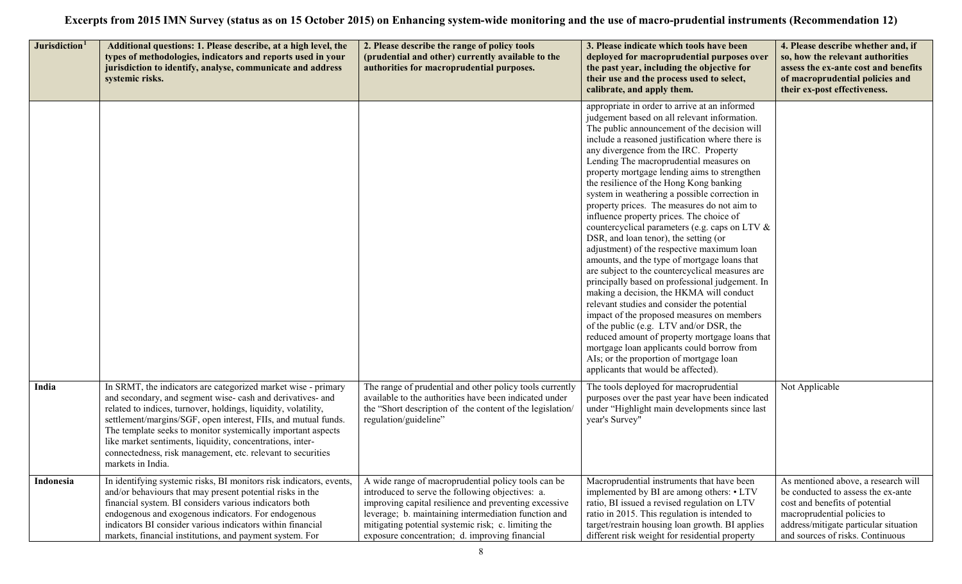| Jurisdiction <sup>1</sup> | Additional questions: 1. Please describe, at a high level, the<br>types of methodologies, indicators and reports used in your<br>jurisdiction to identify, analyse, communicate and address<br>systemic risks.                                                                                                                                                                                                                                                                  | 2. Please describe the range of policy tools<br>(prudential and other) currently available to the<br>authorities for macroprudential purposes.                                                                                                                                                                                    | 3. Please indicate which tools have been<br>deployed for macroprudential purposes over<br>the past year, including the objective for<br>their use and the process used to select,<br>calibrate, and apply them.                                                                                                                                                                                                                                                                                                                                                                                                                                                                                                                                                                                                                                                                                                                                                                                                                                                                                                                                                                                  | 4. Please describe whether and, if<br>so, how the relevant authorities<br>assess the ex-ante cost and benefits<br>of macroprudential policies and<br>their ex-post effectiveness.                                       |
|---------------------------|---------------------------------------------------------------------------------------------------------------------------------------------------------------------------------------------------------------------------------------------------------------------------------------------------------------------------------------------------------------------------------------------------------------------------------------------------------------------------------|-----------------------------------------------------------------------------------------------------------------------------------------------------------------------------------------------------------------------------------------------------------------------------------------------------------------------------------|--------------------------------------------------------------------------------------------------------------------------------------------------------------------------------------------------------------------------------------------------------------------------------------------------------------------------------------------------------------------------------------------------------------------------------------------------------------------------------------------------------------------------------------------------------------------------------------------------------------------------------------------------------------------------------------------------------------------------------------------------------------------------------------------------------------------------------------------------------------------------------------------------------------------------------------------------------------------------------------------------------------------------------------------------------------------------------------------------------------------------------------------------------------------------------------------------|-------------------------------------------------------------------------------------------------------------------------------------------------------------------------------------------------------------------------|
|                           |                                                                                                                                                                                                                                                                                                                                                                                                                                                                                 |                                                                                                                                                                                                                                                                                                                                   | appropriate in order to arrive at an informed<br>judgement based on all relevant information.<br>The public announcement of the decision will<br>include a reasoned justification where there is<br>any divergence from the IRC. Property<br>Lending The macroprudential measures on<br>property mortgage lending aims to strengthen<br>the resilience of the Hong Kong banking<br>system in weathering a possible correction in<br>property prices. The measures do not aim to<br>influence property prices. The choice of<br>countercyclical parameters (e.g. caps on LTV &<br>DSR, and loan tenor), the setting (or<br>adjustment) of the respective maximum loan<br>amounts, and the type of mortgage loans that<br>are subject to the countercyclical measures are<br>principally based on professional judgement. In<br>making a decision, the HKMA will conduct<br>relevant studies and consider the potential<br>impact of the proposed measures on members<br>of the public (e.g. LTV and/or DSR, the<br>reduced amount of property mortgage loans that<br>mortgage loan applicants could borrow from<br>AIs; or the proportion of mortgage loan<br>applicants that would be affected). |                                                                                                                                                                                                                         |
| India                     | In SRMT, the indicators are categorized market wise - primary<br>and secondary, and segment wise-cash and derivatives- and<br>related to indices, turnover, holdings, liquidity, volatility,<br>settlement/margins/SGF, open interest, FIIs, and mutual funds.<br>The template seeks to monitor systemically important aspects<br>like market sentiments, liquidity, concentrations, inter-<br>connectedness, risk management, etc. relevant to securities<br>markets in India. | The range of prudential and other policy tools currently<br>available to the authorities have been indicated under<br>the "Short description of the content of the legislation/<br>regulation/guideline"                                                                                                                          | The tools deployed for macroprudential<br>purposes over the past year have been indicated<br>under "Highlight main developments since last<br>year's Survey"                                                                                                                                                                                                                                                                                                                                                                                                                                                                                                                                                                                                                                                                                                                                                                                                                                                                                                                                                                                                                                     | Not Applicable                                                                                                                                                                                                          |
| Indonesia                 | In identifying systemic risks, BI monitors risk indicators, events,<br>and/or behaviours that may present potential risks in the<br>financial system. BI considers various indicators both<br>endogenous and exogenous indicators. For endogenous<br>indicators BI consider various indicators within financial<br>markets, financial institutions, and payment system. For                                                                                                     | A wide range of macroprudential policy tools can be<br>introduced to serve the following objectives: a.<br>improving capital resilience and preventing excessive<br>leverage; b. maintaining intermediation function and<br>mitigating potential systemic risk; c. limiting the<br>exposure concentration; d. improving financial | Macroprudential instruments that have been<br>implemented by BI are among others: • LTV<br>ratio, BI issued a revised regulation on LTV<br>ratio in 2015. This regulation is intended to<br>target/restrain housing loan growth. BI applies<br>different risk weight for residential property                                                                                                                                                                                                                                                                                                                                                                                                                                                                                                                                                                                                                                                                                                                                                                                                                                                                                                    | As mentioned above, a research will<br>be conducted to assess the ex-ante<br>cost and benefits of potential<br>macroprudential policies to<br>address/mitigate particular situation<br>and sources of risks. Continuous |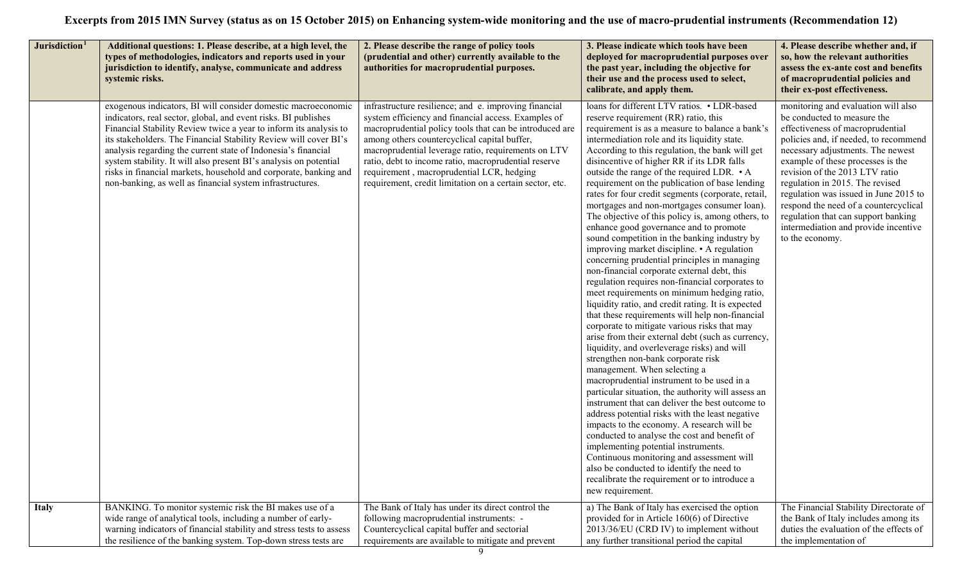| Jurisdiction <sup>1</sup> | Additional questions: 1. Please describe, at a high level, the<br>types of methodologies, indicators and reports used in your<br>jurisdiction to identify, analyse, communicate and address<br>systemic risks.                                                                                                                                                                                                                                                                                                                                  | 2. Please describe the range of policy tools<br>(prudential and other) currently available to the<br>authorities for macroprudential purposes.                                                                                                                                                                                                                                                                                                  | 3. Please indicate which tools have been<br>deployed for macroprudential purposes over<br>the past year, including the objective for<br>their use and the process used to select,<br>calibrate, and apply them.                                                                                                                                                                                                                                                                                                                                                                                                                                                                                                                                                                                                                                                                                                                                                                                                                                                                                                                                                                                                                                                                                                                                                                                                                                                                                                                                                                                                                                                                                                                             | 4. Please describe whether and, if<br>so, how the relevant authorities<br>assess the ex-ante cost and benefits<br>of macroprudential policies and<br>their ex-post effectiveness.                                                                                                                                                                                                                                                                                                  |
|---------------------------|-------------------------------------------------------------------------------------------------------------------------------------------------------------------------------------------------------------------------------------------------------------------------------------------------------------------------------------------------------------------------------------------------------------------------------------------------------------------------------------------------------------------------------------------------|-------------------------------------------------------------------------------------------------------------------------------------------------------------------------------------------------------------------------------------------------------------------------------------------------------------------------------------------------------------------------------------------------------------------------------------------------|---------------------------------------------------------------------------------------------------------------------------------------------------------------------------------------------------------------------------------------------------------------------------------------------------------------------------------------------------------------------------------------------------------------------------------------------------------------------------------------------------------------------------------------------------------------------------------------------------------------------------------------------------------------------------------------------------------------------------------------------------------------------------------------------------------------------------------------------------------------------------------------------------------------------------------------------------------------------------------------------------------------------------------------------------------------------------------------------------------------------------------------------------------------------------------------------------------------------------------------------------------------------------------------------------------------------------------------------------------------------------------------------------------------------------------------------------------------------------------------------------------------------------------------------------------------------------------------------------------------------------------------------------------------------------------------------------------------------------------------------|------------------------------------------------------------------------------------------------------------------------------------------------------------------------------------------------------------------------------------------------------------------------------------------------------------------------------------------------------------------------------------------------------------------------------------------------------------------------------------|
|                           | exogenous indicators, BI will consider domestic macroeconomic<br>indicators, real sector, global, and event risks. BI publishes<br>Financial Stability Review twice a year to inform its analysis to<br>its stakeholders. The Financial Stability Review will cover BI's<br>analysis regarding the current state of Indonesia's financial<br>system stability. It will also present BI's analysis on potential<br>risks in financial markets, household and corporate, banking and<br>non-banking, as well as financial system infrastructures. | infrastructure resilience; and e. improving financial<br>system efficiency and financial access. Examples of<br>macroprudential policy tools that can be introduced are<br>among others countercyclical capital buffer,<br>macroprudential leverage ratio, requirements on LTV<br>ratio, debt to income ratio, macroprudential reserve<br>requirement, macroprudential LCR, hedging<br>requirement, credit limitation on a certain sector, etc. | loans for different LTV ratios. • LDR-based<br>reserve requirement (RR) ratio, this<br>requirement is as a measure to balance a bank's<br>intermediation role and its liquidity state.<br>According to this regulation, the bank will get<br>disincentive of higher RR if its LDR falls<br>outside the range of the required LDR. • A<br>requirement on the publication of base lending<br>rates for four credit segments (corporate, retail<br>mortgages and non-mortgages consumer loan).<br>The objective of this policy is, among others, to<br>enhance good governance and to promote<br>sound competition in the banking industry by<br>improving market discipline. • A regulation<br>concerning prudential principles in managing<br>non-financial corporate external debt, this<br>regulation requires non-financial corporates to<br>meet requirements on minimum hedging ratio,<br>liquidity ratio, and credit rating. It is expected<br>that these requirements will help non-financial<br>corporate to mitigate various risks that may<br>arise from their external debt (such as currency,<br>liquidity, and overleverage risks) and will<br>strengthen non-bank corporate risk<br>management. When selecting a<br>macroprudential instrument to be used in a<br>particular situation, the authority will assess an<br>instrument that can deliver the best outcome to<br>address potential risks with the least negative<br>impacts to the economy. A research will be<br>conducted to analyse the cost and benefit of<br>implementing potential instruments.<br>Continuous monitoring and assessment will<br>also be conducted to identify the need to<br>recalibrate the requirement or to introduce a<br>new requirement. | monitoring and evaluation will also<br>be conducted to measure the<br>effectiveness of macroprudential<br>policies and, if needed, to recommend<br>necessary adjustments. The newest<br>example of these processes is the<br>revision of the 2013 LTV ratio<br>regulation in 2015. The revised<br>regulation was issued in June 2015 to<br>respond the need of a countercyclical<br>regulation that can support banking<br>intermediation and provide incentive<br>to the economy. |
| <b>Italy</b>              | BANKING. To monitor systemic risk the BI makes use of a<br>wide range of analytical tools, including a number of early-<br>warning indicators of financial stability and stress tests to assess<br>the resilience of the banking system. Top-down stress tests are                                                                                                                                                                                                                                                                              | The Bank of Italy has under its direct control the<br>following macroprudential instruments: -<br>Countercyclical capital buffer and sectorial<br>requirements are available to mitigate and prevent                                                                                                                                                                                                                                            | a) The Bank of Italy has exercised the option<br>provided for in Article 160(6) of Directive<br>2013/36/EU (CRD IV) to implement without<br>any further transitional period the capital                                                                                                                                                                                                                                                                                                                                                                                                                                                                                                                                                                                                                                                                                                                                                                                                                                                                                                                                                                                                                                                                                                                                                                                                                                                                                                                                                                                                                                                                                                                                                     | The Financial Stability Directorate of<br>the Bank of Italy includes among its<br>duties the evaluation of the effects of<br>the implementation of                                                                                                                                                                                                                                                                                                                                 |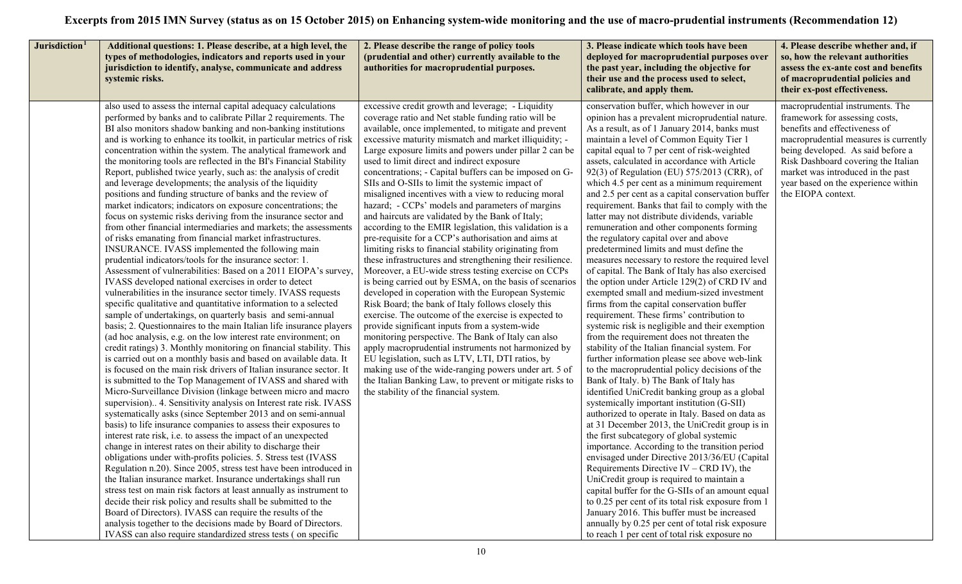| deployed for macroprudential purposes over<br>types of methodologies, indicators and reports used in your<br>(prudential and other) currently available to the<br>jurisdiction to identify, analyse, communicate and address<br>authorities for macroprudential purposes.<br>the past year, including the objective for<br>their use and the process used to select,<br>systemic risks.<br>calibrate, and apply them.                                                                                                                                                                                                                                                                                                                                                                                                                                                                                                                                                                                                                                                                                                                                                                                                                                                                                                                                                                                                                                                                                                                                                                                                                                                                                                                                                                                                                                                                                                                                                                                                                                                                                                                                                                                                                                                                                                                                                                                                                                                                                                                                                                                                                                                                                                                                                                                                                                                                                                                                                                                                                                                                                                                                                                                                                                                                                                                                                                                                                                                                                                                                                                                                                                                                                                                                                                                                                                                                                                                                                                                                                                                                                                                                                                                                                                                                                                                                                                                                                                                                                                                                                                                                                                                                                                                                                                                                                                                                                                                                                                                                                                                                                                                                                                                                                                                                                                                                                                                                                                                                                                                                                                                                                                                                                                                                                                                                                                                                                                                                                                                                                                                                                                                                                                                                                                                            | 4. Please describe whether and, if<br>so, how the relevant authorities<br>assess the ex-ante cost and benefits<br>of macroprudential policies and<br>their ex-post effectiveness.                                                                                                                    |
|----------------------------------------------------------------------------------------------------------------------------------------------------------------------------------------------------------------------------------------------------------------------------------------------------------------------------------------------------------------------------------------------------------------------------------------------------------------------------------------------------------------------------------------------------------------------------------------------------------------------------------------------------------------------------------------------------------------------------------------------------------------------------------------------------------------------------------------------------------------------------------------------------------------------------------------------------------------------------------------------------------------------------------------------------------------------------------------------------------------------------------------------------------------------------------------------------------------------------------------------------------------------------------------------------------------------------------------------------------------------------------------------------------------------------------------------------------------------------------------------------------------------------------------------------------------------------------------------------------------------------------------------------------------------------------------------------------------------------------------------------------------------------------------------------------------------------------------------------------------------------------------------------------------------------------------------------------------------------------------------------------------------------------------------------------------------------------------------------------------------------------------------------------------------------------------------------------------------------------------------------------------------------------------------------------------------------------------------------------------------------------------------------------------------------------------------------------------------------------------------------------------------------------------------------------------------------------------------------------------------------------------------------------------------------------------------------------------------------------------------------------------------------------------------------------------------------------------------------------------------------------------------------------------------------------------------------------------------------------------------------------------------------------------------------------------------------------------------------------------------------------------------------------------------------------------------------------------------------------------------------------------------------------------------------------------------------------------------------------------------------------------------------------------------------------------------------------------------------------------------------------------------------------------------------------------------------------------------------------------------------------------------------------------------------------------------------------------------------------------------------------------------------------------------------------------------------------------------------------------------------------------------------------------------------------------------------------------------------------------------------------------------------------------------------------------------------------------------------------------------------------------------------------------------------------------------------------------------------------------------------------------------------------------------------------------------------------------------------------------------------------------------------------------------------------------------------------------------------------------------------------------------------------------------------------------------------------------------------------------------------------------------------------------------------------------------------------------------------------------------------------------------------------------------------------------------------------------------------------------------------------------------------------------------------------------------------------------------------------------------------------------------------------------------------------------------------------------------------------------------------------------------------------------------------------------------------------------------------------------------------------------------------------------------------------------------------------------------------------------------------------------------------------------------------------------------------------------------------------------------------------------------------------------------------------------------------------------------------------------------------------------------------------------------------------------------------------------------------------------------------------------------------------------------------------------------------------------------------------------------------------------------------------------------------------------------------------------------------------------------------------------------------------------------------------------------------------------------------------------------------------------------------------------------------------------------------------------------------------------------------------------------------------|------------------------------------------------------------------------------------------------------------------------------------------------------------------------------------------------------------------------------------------------------------------------------------------------------|
| also used to assess the internal capital adequacy calculations<br>excessive credit growth and leverage; - Liquidity<br>conservation buffer, which however in our<br>performed by banks and to calibrate Pillar 2 requirements. The<br>coverage ratio and Net stable funding ratio will be<br>opinion has a prevalent microprudential nature<br>available, once implemented, to mitigate and prevent<br>As a result, as of 1 January 2014, banks must<br>BI also monitors shadow banking and non-banking institutions<br>and is working to enhance its toolkit, in particular metrics of risk<br>excessive maturity mismatch and market illiquidity; -<br>maintain a level of Common Equity Tier 1<br>concentration within the system. The analytical framework and<br>Large exposure limits and powers under pillar 2 can be<br>capital equal to 7 per cent of risk-weighted<br>the monitoring tools are reflected in the BI's Financial Stability<br>used to limit direct and indirect exposure<br>assets, calculated in accordance with Article<br>Report, published twice yearly, such as: the analysis of credit<br>concentrations; - Capital buffers can be imposed on G-<br>92(3) of Regulation (EU) 575/2013 (CRR), of<br>and leverage developments; the analysis of the liquidity<br>SIIs and O-SIIs to limit the systemic impact of<br>which 4.5 per cent as a minimum requirement<br>positions and funding structure of banks and the review of<br>misaligned incentives with a view to reducing moral<br>and 2.5 per cent as a capital conservation buffer<br>the EIOPA context.<br>market indicators; indicators on exposure concentrations; the<br>hazard; - CCPs' models and parameters of margins<br>requirement. Banks that fail to comply with the<br>focus on systemic risks deriving from the insurance sector and<br>and haircuts are validated by the Bank of Italy;<br>latter may not distribute dividends, variable<br>from other financial intermediaries and markets; the assessments<br>according to the EMIR legislation, this validation is a<br>remuneration and other components forming<br>of risks emanating from financial market infrastructures.<br>pre-requisite for a CCP's authorisation and aims at<br>the regulatory capital over and above<br>INSURANCE. IVASS implemented the following main<br>limiting risks to financial stability originating from<br>predetermined limits and must define the<br>prudential indicators/tools for the insurance sector: 1.<br>these infrastructures and strengthening their resilience.<br>measures necessary to restore the required level<br>Assessment of vulnerabilities: Based on a 2011 EIOPA's survey,<br>Moreover, a EU-wide stress testing exercise on CCPs<br>of capital. The Bank of Italy has also exercised<br>IVASS developed national exercises in order to detect<br>is being carried out by ESMA, on the basis of scenarios<br>the option under Article 129(2) of CRD IV and<br>vulnerabilities in the insurance sector timely. IVASS requests<br>developed in coperation with the European Systemic<br>exempted small and medium-sized investment<br>specific qualitative and quantitative information to a selected<br>Risk Board; the bank of Italy follows closely this<br>firms from the capital conservation buffer<br>sample of undertakings, on quarterly basis and semi-annual<br>exercise. The outcome of the exercise is expected to<br>requirement. These firms' contribution to<br>basis; 2. Questionnaires to the main Italian life insurance players<br>provide significant inputs from a system-wide<br>systemic risk is negligible and their exemption<br>(ad hoc analysis, e.g. on the low interest rate environment; on<br>monitoring perspective. The Bank of Italy can also<br>from the requirement does not threaten the<br>apply macroprudential instruments not harmonized by<br>stability of the Italian financial system. For<br>credit ratings) 3. Monthly monitoring on financial stability. This<br>is carried out on a monthly basis and based on available data. It<br>EU legislation, such as LTV, LTI, DTI ratios, by<br>further information please see above web-link<br>is focused on the main risk drivers of Italian insurance sector. It<br>making use of the wide-ranging powers under art. 5 of<br>to the macroprudential policy decisions of the<br>is submitted to the Top Management of IVASS and shared with<br>the Italian Banking Law, to prevent or mitigate risks to<br>Bank of Italy. b) The Bank of Italy has<br>identified UniCredit banking group as a global<br>Micro-Surveillance Division (linkage between micro and macro<br>the stability of the financial system.<br>supervision) 4. Sensitivity analysis on Interest rate risk. IVASS<br>systemically important institution (G-SII)<br>systematically asks (since September 2013 and on semi-annual<br>authorized to operate in Italy. Based on data as<br>basis) to life insurance companies to assess their exposures to<br>at 31 December 2013, the UniCredit group is in<br>interest rate risk, i.e. to assess the impact of an unexpected<br>the first subcategory of global systemic<br>change in interest rates on their ability to discharge their<br>importance. According to the transition period<br>obligations under with-profits policies. 5. Stress test (IVASS<br>envisaged under Directive 2013/36/EU (Capital<br>Regulation n.20). Since 2005, stress test have been introduced in<br>Requirements Directive IV – CRD IV), the<br>the Italian insurance market. Insurance undertakings shall run<br>UniCredit group is required to maintain a<br>capital buffer for the G-SIIs of an amount equal<br>stress test on main risk factors at least annually as instrument to<br>decide their risk policy and results shall be submitted to the<br>to 0.25 per cent of its total risk exposure from 1<br>January 2016. This buffer must be increased<br>Board of Directors). IVASS can require the results of the<br>analysis together to the decisions made by Board of Directors.<br>annually by 0.25 per cent of total risk exposure<br>IVASS can also require standardized stress tests (on specific<br>to reach 1 per cent of total risk exposure no | macroprudential instruments. The<br>framework for assessing costs,<br>benefits and effectiveness of<br>macroprudential measures is currently<br>being developed. As said before a<br>Risk Dashboard covering the Italian<br>market was introduced in the past<br>year based on the experience within |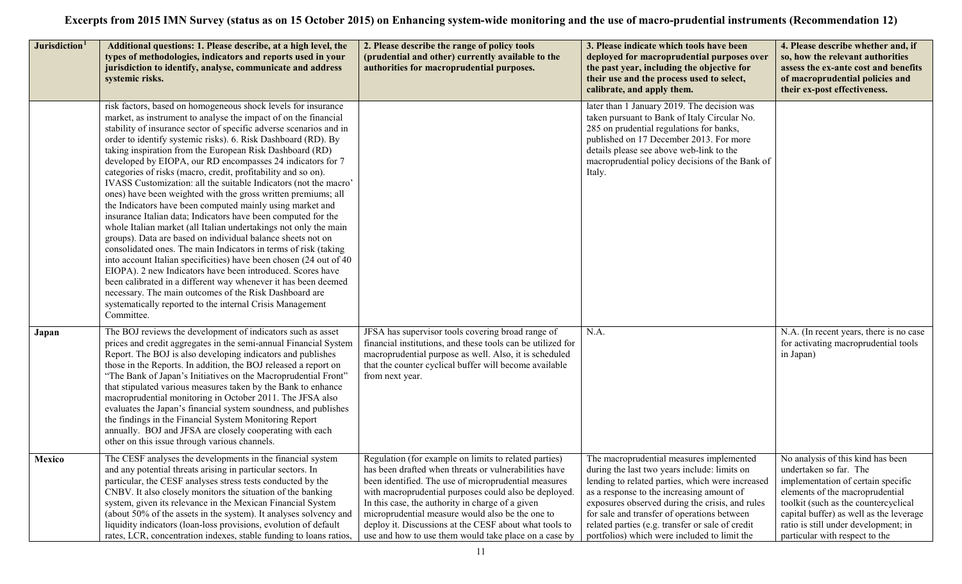| Jurisdiction <sup>1</sup> | Additional questions: 1. Please describe, at a high level, the<br>types of methodologies, indicators and reports used in your<br>jurisdiction to identify, analyse, communicate and address<br>systemic risks.                                                                                                                                                                                                                                                                                                                                                                                                                                                                                                                                                                                                                                                                                                                                                                                                                                                                                                                                                                                                                                                                         | 2. Please describe the range of policy tools<br>(prudential and other) currently available to the<br>authorities for macroprudential purposes.                                                                                                                                                                                                                                                                                                             | 3. Please indicate which tools have been<br>deployed for macroprudential purposes over<br>the past year, including the objective for<br>their use and the process used to select,<br>calibrate, and apply them.                                                                                                                                                                                 | 4. Please describe whether and, if<br>so, how the relevant authorities<br>assess the ex-ante cost and benefits<br>of macroprudential policies and<br>their ex-post effectiveness.                                                                                                                 |
|---------------------------|----------------------------------------------------------------------------------------------------------------------------------------------------------------------------------------------------------------------------------------------------------------------------------------------------------------------------------------------------------------------------------------------------------------------------------------------------------------------------------------------------------------------------------------------------------------------------------------------------------------------------------------------------------------------------------------------------------------------------------------------------------------------------------------------------------------------------------------------------------------------------------------------------------------------------------------------------------------------------------------------------------------------------------------------------------------------------------------------------------------------------------------------------------------------------------------------------------------------------------------------------------------------------------------|------------------------------------------------------------------------------------------------------------------------------------------------------------------------------------------------------------------------------------------------------------------------------------------------------------------------------------------------------------------------------------------------------------------------------------------------------------|-------------------------------------------------------------------------------------------------------------------------------------------------------------------------------------------------------------------------------------------------------------------------------------------------------------------------------------------------------------------------------------------------|---------------------------------------------------------------------------------------------------------------------------------------------------------------------------------------------------------------------------------------------------------------------------------------------------|
|                           | risk factors, based on homogeneous shock levels for insurance<br>market, as instrument to analyse the impact of on the financial<br>stability of insurance sector of specific adverse scenarios and in<br>order to identify systemic risks). 6. Risk Dashboard (RD). By<br>taking inspiration from the European Risk Dashboard (RD)<br>developed by EIOPA, our RD encompasses 24 indicators for 7<br>categories of risks (macro, credit, profitability and so on).<br>IVASS Customization: all the suitable Indicators (not the macro'<br>ones) have been weighted with the gross written premiums; all<br>the Indicators have been computed mainly using market and<br>insurance Italian data; Indicators have been computed for the<br>whole Italian market (all Italian undertakings not only the main<br>groups). Data are based on individual balance sheets not on<br>consolidated ones. The main Indicators in terms of risk (taking<br>into account Italian specificities) have been chosen (24 out of 40<br>EIOPA). 2 new Indicators have been introduced. Scores have<br>been calibrated in a different way whenever it has been deemed<br>necessary. The main outcomes of the Risk Dashboard are<br>systematically reported to the internal Crisis Management<br>Committee. |                                                                                                                                                                                                                                                                                                                                                                                                                                                            | later than 1 January 2019. The decision was<br>taken pursuant to Bank of Italy Circular No.<br>285 on prudential regulations for banks,<br>published on 17 December 2013. For more<br>details please see above web-link to the<br>macroprudential policy decisions of the Bank of<br>Italy.                                                                                                     |                                                                                                                                                                                                                                                                                                   |
| Japan                     | The BOJ reviews the development of indicators such as asset<br>prices and credit aggregates in the semi-annual Financial System<br>Report. The BOJ is also developing indicators and publishes<br>those in the Reports. In addition, the BOJ released a report on<br>"The Bank of Japan's Initiatives on the Macroprudential Front"<br>that stipulated various measures taken by the Bank to enhance<br>macroprudential monitoring in October 2011. The JFSA also<br>evaluates the Japan's financial system soundness, and publishes<br>the findings in the Financial System Monitoring Report<br>annually. BOJ and JFSA are closely cooperating with each<br>other on this issue through various channels.                                                                                                                                                                                                                                                                                                                                                                                                                                                                                                                                                                            | JFSA has supervisor tools covering broad range of<br>financial institutions, and these tools can be utilized for<br>macroprudential purpose as well. Also, it is scheduled<br>that the counter cyclical buffer will become available<br>from next year.                                                                                                                                                                                                    | N.A.                                                                                                                                                                                                                                                                                                                                                                                            | N.A. (In recent years, there is no case<br>for activating macroprudential tools<br>in Japan)                                                                                                                                                                                                      |
| Mexico                    | The CESF analyses the developments in the financial system<br>and any potential threats arising in particular sectors. In<br>particular, the CESF analyses stress tests conducted by the<br>CNBV. It also closely monitors the situation of the banking<br>system, given its relevance in the Mexican Financial System<br>(about 50% of the assets in the system). It analyses solvency and<br>liquidity indicators (loan-loss provisions, evolution of default<br>rates, LCR, concentration indexes, stable funding to loans ratios,                                                                                                                                                                                                                                                                                                                                                                                                                                                                                                                                                                                                                                                                                                                                                  | Regulation (for example on limits to related parties)<br>has been drafted when threats or vulnerabilities have<br>been identified. The use of microprudential measures<br>with macroprudential purposes could also be deployed.<br>In this case, the authority in charge of a given<br>microprudential measure would also be the one to<br>deploy it. Discussions at the CESF about what tools to<br>use and how to use them would take place on a case by | The macroprudential measures implemented<br>during the last two years include: limits on<br>lending to related parties, which were increased<br>as a response to the increasing amount of<br>exposures observed during the crisis, and rules<br>for sale and transfer of operations between<br>related parties (e.g. transfer or sale of credit<br>portfolios) which were included to limit the | No analysis of this kind has been<br>undertaken so far. The<br>implementation of certain specific<br>elements of the macroprudential<br>toolkit (such as the countercyclical<br>capital buffer) as well as the leverage<br>ratio is still under development; in<br>particular with respect to the |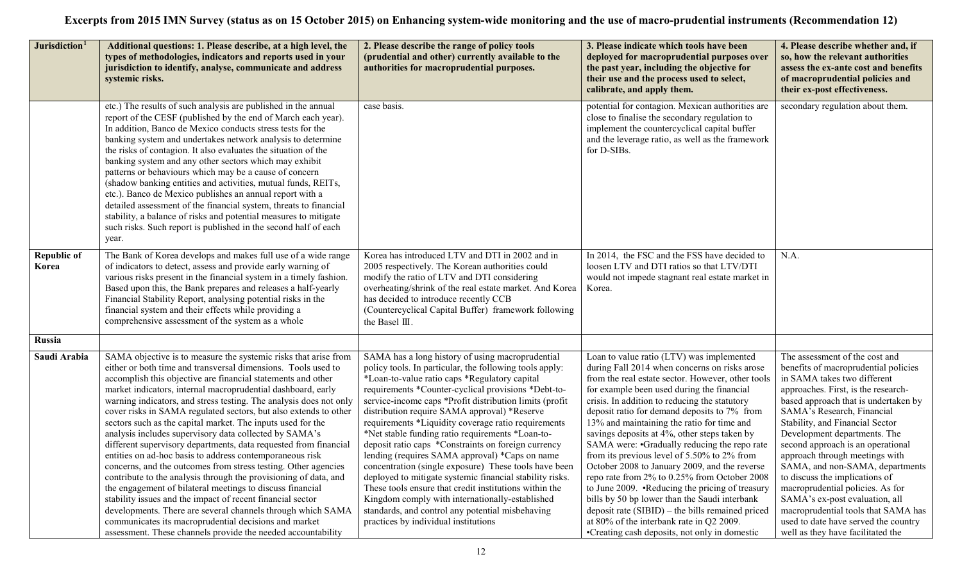| Jurisdiction <sup>1</sup>   | Additional questions: 1. Please describe, at a high level, the<br>types of methodologies, indicators and reports used in your<br>jurisdiction to identify, analyse, communicate and address<br>systemic risks.                                                                                                                                                                                                                                                                                                                                                                                                                                                                                                                                                                                                                                                                                                                                                                                                                                                                                                               | 2. Please describe the range of policy tools<br>(prudential and other) currently available to the<br>authorities for macroprudential purposes.                                                                                                                                                                                                                                                                                                                                                                                                                                                                                                                                                                                                                                                                                                                                   | 3. Please indicate which tools have been<br>deployed for macroprudential purposes over<br>the past year, including the objective for<br>their use and the process used to select,<br>calibrate, and apply them.                                                                                                                                                                                                                                                                                                                                                                                                                                                                                                                                                                                                                                   | 4. Please describe whether and, if<br>so, how the relevant authorities<br>assess the ex-ante cost and benefits<br>of macroprudential policies and<br>their ex-post effectiveness.                                                                                                                                                                                                                                                                                                                                                                                                                                           |
|-----------------------------|------------------------------------------------------------------------------------------------------------------------------------------------------------------------------------------------------------------------------------------------------------------------------------------------------------------------------------------------------------------------------------------------------------------------------------------------------------------------------------------------------------------------------------------------------------------------------------------------------------------------------------------------------------------------------------------------------------------------------------------------------------------------------------------------------------------------------------------------------------------------------------------------------------------------------------------------------------------------------------------------------------------------------------------------------------------------------------------------------------------------------|----------------------------------------------------------------------------------------------------------------------------------------------------------------------------------------------------------------------------------------------------------------------------------------------------------------------------------------------------------------------------------------------------------------------------------------------------------------------------------------------------------------------------------------------------------------------------------------------------------------------------------------------------------------------------------------------------------------------------------------------------------------------------------------------------------------------------------------------------------------------------------|---------------------------------------------------------------------------------------------------------------------------------------------------------------------------------------------------------------------------------------------------------------------------------------------------------------------------------------------------------------------------------------------------------------------------------------------------------------------------------------------------------------------------------------------------------------------------------------------------------------------------------------------------------------------------------------------------------------------------------------------------------------------------------------------------------------------------------------------------|-----------------------------------------------------------------------------------------------------------------------------------------------------------------------------------------------------------------------------------------------------------------------------------------------------------------------------------------------------------------------------------------------------------------------------------------------------------------------------------------------------------------------------------------------------------------------------------------------------------------------------|
|                             | etc.) The results of such analysis are published in the annual<br>report of the CESF (published by the end of March each year).<br>In addition, Banco de Mexico conducts stress tests for the<br>banking system and undertakes network analysis to determine<br>the risks of contagion. It also evaluates the situation of the<br>banking system and any other sectors which may exhibit<br>patterns or behaviours which may be a cause of concern<br>(shadow banking entities and activities, mutual funds, REITs,<br>etc.). Banco de Mexico publishes an annual report with a<br>detailed assessment of the financial system, threats to financial<br>stability, a balance of risks and potential measures to mitigate<br>such risks. Such report is published in the second half of each<br>year.                                                                                                                                                                                                                                                                                                                         | case basis.                                                                                                                                                                                                                                                                                                                                                                                                                                                                                                                                                                                                                                                                                                                                                                                                                                                                      | potential for contagion. Mexican authorities are<br>close to finalise the secondary regulation to<br>implement the countercyclical capital buffer<br>and the leverage ratio, as well as the framework<br>for D-SIBs.                                                                                                                                                                                                                                                                                                                                                                                                                                                                                                                                                                                                                              | secondary regulation about them.                                                                                                                                                                                                                                                                                                                                                                                                                                                                                                                                                                                            |
| <b>Republic of</b><br>Korea | The Bank of Korea develops and makes full use of a wide range<br>of indicators to detect, assess and provide early warning of<br>various risks present in the financial system in a timely fashion.<br>Based upon this, the Bank prepares and releases a half-yearly<br>Financial Stability Report, analysing potential risks in the<br>financial system and their effects while providing a<br>comprehensive assessment of the system as a whole                                                                                                                                                                                                                                                                                                                                                                                                                                                                                                                                                                                                                                                                            | Korea has introduced LTV and DTI in 2002 and in<br>2005 respectively. The Korean authorities could<br>modify the ratio of LTV and DTI considering<br>overheating/shrink of the real estate market. And Korea<br>has decided to introduce recently CCB<br>(Countercyclical Capital Buffer) framework following<br>the Basel III.                                                                                                                                                                                                                                                                                                                                                                                                                                                                                                                                                  | In 2014, the FSC and the FSS have decided to<br>loosen LTV and DTI ratios so that LTV/DTI<br>would not impede stagnant real estate market in<br>Korea.                                                                                                                                                                                                                                                                                                                                                                                                                                                                                                                                                                                                                                                                                            | N.A.                                                                                                                                                                                                                                                                                                                                                                                                                                                                                                                                                                                                                        |
| Russia                      |                                                                                                                                                                                                                                                                                                                                                                                                                                                                                                                                                                                                                                                                                                                                                                                                                                                                                                                                                                                                                                                                                                                              |                                                                                                                                                                                                                                                                                                                                                                                                                                                                                                                                                                                                                                                                                                                                                                                                                                                                                  |                                                                                                                                                                                                                                                                                                                                                                                                                                                                                                                                                                                                                                                                                                                                                                                                                                                   |                                                                                                                                                                                                                                                                                                                                                                                                                                                                                                                                                                                                                             |
| Saudi Arabia                | SAMA objective is to measure the systemic risks that arise from<br>either or both time and transversal dimensions. Tools used to<br>accomplish this objective are financial statements and other<br>market indicators, internal macroprudential dashboard, early<br>warning indicators, and stress testing. The analysis does not only<br>cover risks in SAMA regulated sectors, but also extends to other<br>sectors such as the capital market. The inputs used for the<br>analysis includes supervisory data collected by SAMA's<br>different supervisory departments, data requested from financial<br>entities on ad-hoc basis to address contemporaneous risk<br>concerns, and the outcomes from stress testing. Other agencies<br>contribute to the analysis through the provisioning of data, and<br>the engagement of bilateral meetings to discuss financial<br>stability issues and the impact of recent financial sector<br>developments. There are several channels through which SAMA<br>communicates its macroprudential decisions and market<br>assessment. These channels provide the needed accountability | SAMA has a long history of using macroprudential<br>policy tools. In particular, the following tools apply:<br>*Loan-to-value ratio caps *Regulatory capital<br>requirements *Counter-cyclical provisions *Debt-to-<br>service-income caps *Profit distribution limits (profit<br>distribution require SAMA approval) *Reserve<br>requirements *Liquidity coverage ratio requirements<br>*Net stable funding ratio requirements *Loan-to-<br>deposit ratio caps *Constraints on foreign currency<br>lending (requires SAMA approval) *Caps on name<br>concentration (single exposure) These tools have been<br>deployed to mitigate systemic financial stability risks.<br>These tools ensure that credit institutions within the<br>Kingdom comply with internationally-established<br>standards, and control any potential misbehaving<br>practices by individual institutions | Loan to value ratio (LTV) was implemented<br>during Fall 2014 when concerns on risks arose<br>from the real estate sector. However, other tools<br>for example been used during the financial<br>crisis. In addition to reducing the statutory<br>deposit ratio for demand deposits to 7% from<br>13% and maintaining the ratio for time and<br>savings deposits at 4%, other steps taken by<br>SAMA were: •Gradually reducing the repo rate<br>from its previous level of 5.50% to 2% from<br>October 2008 to January 2009, and the reverse<br>repo rate from 2% to 0.25% from October 2008<br>to June 2009. •Reducing the pricing of treasury<br>bills by 50 bp lower than the Saudi interbank<br>deposit rate (SIBID) – the bills remained priced<br>at 80% of the interbank rate in Q2 2009.<br>•Creating cash deposits, not only in domestic | The assessment of the cost and<br>benefits of macroprudential policies<br>in SAMA takes two different<br>approaches. First, is the research-<br>based approach that is undertaken by<br>SAMA's Research, Financial<br>Stability, and Financial Sector<br>Development departments. The<br>second approach is an operational<br>approach through meetings with<br>SAMA, and non-SAMA, departments<br>to discuss the implications of<br>macroprudential policies. As for<br>SAMA's ex-post evaluation, all<br>macroprudential tools that SAMA has<br>used to date have served the country<br>well as they have facilitated the |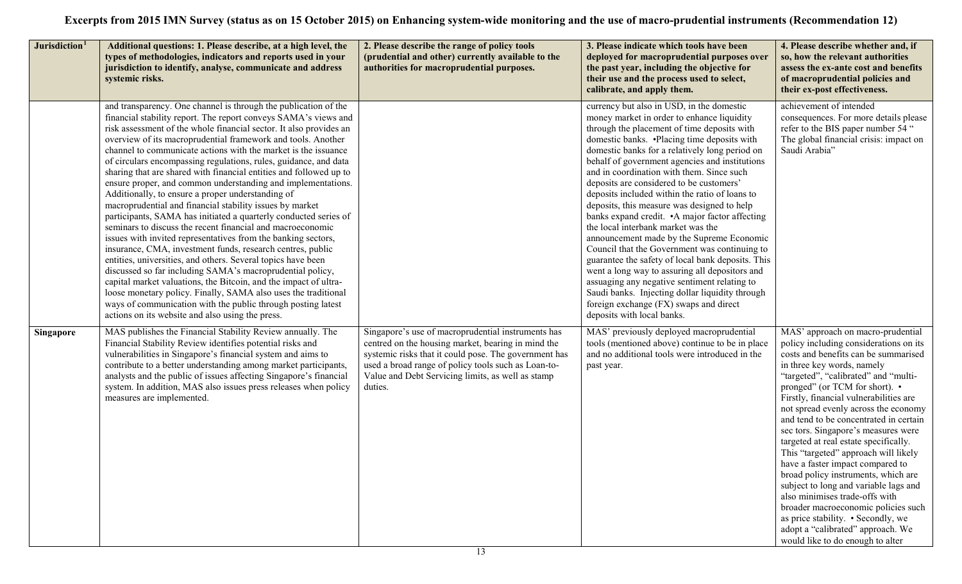| Jurisdiction <sup>1</sup> | Additional questions: 1. Please describe, at a high level, the<br>types of methodologies, indicators and reports used in your<br>jurisdiction to identify, analyse, communicate and address<br>systemic risks.                                                                                                                                                                                                                                                                                                                                                                                                                                                                                                                                                                                                                                                                                                                                                                                                                                                                                                                                                                                                                                                                                                                | 2. Please describe the range of policy tools<br>(prudential and other) currently available to the<br>authorities for macroprudential purposes.                                                                                                                                           | 3. Please indicate which tools have been<br>deployed for macroprudential purposes over<br>the past year, including the objective for<br>their use and the process used to select,<br>calibrate, and apply them.                                                                                                                                                                                                                                                                                                                                                                                                                                                                                                                                                                                                                                                                                                                                              | 4. Please describe whether and, if<br>so, how the relevant authorities<br>assess the ex-ante cost and benefits<br>of macroprudential policies and<br>their ex-post effectiveness.                                                                                                                                                                                                                                                                                                                                                                                                                                                                                                                                                                                                           |
|---------------------------|-------------------------------------------------------------------------------------------------------------------------------------------------------------------------------------------------------------------------------------------------------------------------------------------------------------------------------------------------------------------------------------------------------------------------------------------------------------------------------------------------------------------------------------------------------------------------------------------------------------------------------------------------------------------------------------------------------------------------------------------------------------------------------------------------------------------------------------------------------------------------------------------------------------------------------------------------------------------------------------------------------------------------------------------------------------------------------------------------------------------------------------------------------------------------------------------------------------------------------------------------------------------------------------------------------------------------------|------------------------------------------------------------------------------------------------------------------------------------------------------------------------------------------------------------------------------------------------------------------------------------------|--------------------------------------------------------------------------------------------------------------------------------------------------------------------------------------------------------------------------------------------------------------------------------------------------------------------------------------------------------------------------------------------------------------------------------------------------------------------------------------------------------------------------------------------------------------------------------------------------------------------------------------------------------------------------------------------------------------------------------------------------------------------------------------------------------------------------------------------------------------------------------------------------------------------------------------------------------------|---------------------------------------------------------------------------------------------------------------------------------------------------------------------------------------------------------------------------------------------------------------------------------------------------------------------------------------------------------------------------------------------------------------------------------------------------------------------------------------------------------------------------------------------------------------------------------------------------------------------------------------------------------------------------------------------------------------------------------------------------------------------------------------------|
|                           | and transparency. One channel is through the publication of the<br>financial stability report. The report conveys SAMA's views and<br>risk assessment of the whole financial sector. It also provides an<br>overview of its macroprudential framework and tools. Another<br>channel to communicate actions with the market is the issuance<br>of circulars encompassing regulations, rules, guidance, and data<br>sharing that are shared with financial entities and followed up to<br>ensure proper, and common understanding and implementations.<br>Additionally, to ensure a proper understanding of<br>macroprudential and financial stability issues by market<br>participants, SAMA has initiated a quarterly conducted series of<br>seminars to discuss the recent financial and macroeconomic<br>issues with invited representatives from the banking sectors,<br>insurance, CMA, investment funds, research centres, public<br>entities, universities, and others. Several topics have been<br>discussed so far including SAMA's macroprudential policy,<br>capital market valuations, the Bitcoin, and the impact of ultra-<br>loose monetary policy. Finally, SAMA also uses the traditional<br>ways of communication with the public through posting latest<br>actions on its website and also using the press. |                                                                                                                                                                                                                                                                                          | currency but also in USD, in the domestic<br>money market in order to enhance liquidity<br>through the placement of time deposits with<br>domestic banks. .Placing time deposits with<br>domestic banks for a relatively long period on<br>behalf of government agencies and institutions<br>and in coordination with them. Since such<br>deposits are considered to be customers'<br>deposits included within the ratio of loans to<br>deposits, this measure was designed to help<br>banks expand credit. • A major factor affecting<br>the local interbank market was the<br>announcement made by the Supreme Economic<br>Council that the Government was continuing to<br>guarantee the safety of local bank deposits. This<br>went a long way to assuring all depositors and<br>assuaging any negative sentiment relating to<br>Saudi banks. Injecting dollar liquidity through<br>foreign exchange (FX) swaps and direct<br>deposits with local banks. | achievement of intended<br>consequences. For more details please<br>refer to the BIS paper number 54 "<br>The global financial crisis: impact on<br>Saudi Arabia"                                                                                                                                                                                                                                                                                                                                                                                                                                                                                                                                                                                                                           |
| <b>Singapore</b>          | MAS publishes the Financial Stability Review annually. The<br>Financial Stability Review identifies potential risks and<br>vulnerabilities in Singapore's financial system and aims to<br>contribute to a better understanding among market participants,<br>analysts and the public of issues affecting Singapore's financial<br>system. In addition, MAS also issues press releases when policy<br>measures are implemented.                                                                                                                                                                                                                                                                                                                                                                                                                                                                                                                                                                                                                                                                                                                                                                                                                                                                                                | Singapore's use of macroprudential instruments has<br>centred on the housing market, bearing in mind the<br>systemic risks that it could pose. The government has<br>used a broad range of policy tools such as Loan-to-<br>Value and Debt Servicing limits, as well as stamp<br>duties. | MAS' previously deployed macroprudential<br>tools (mentioned above) continue to be in place<br>and no additional tools were introduced in the<br>past year.                                                                                                                                                                                                                                                                                                                                                                                                                                                                                                                                                                                                                                                                                                                                                                                                  | MAS' approach on macro-prudential<br>policy including considerations on its<br>costs and benefits can be summarised<br>in three key words, namely<br>"targeted", "calibrated" and "multi-<br>pronged" (or TCM for short). •<br>Firstly, financial vulnerabilities are<br>not spread evenly across the economy<br>and tend to be concentrated in certain<br>sec tors. Singapore's measures were<br>targeted at real estate specifically.<br>This "targeted" approach will likely<br>have a faster impact compared to<br>broad policy instruments, which are<br>subject to long and variable lags and<br>also minimises trade-offs with<br>broader macroeconomic policies such<br>as price stability. • Secondly, we<br>adopt a "calibrated" approach. We<br>would like to do enough to alter |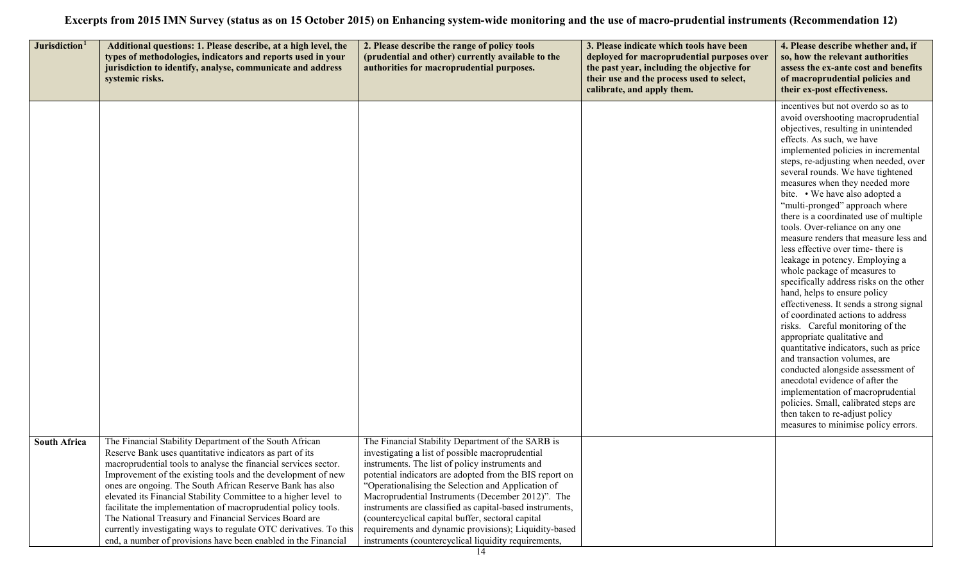| Jurisdiction <sup>1</sup> | Additional questions: 1. Please describe, at a high level, the                                                                                                                                                                                                                                                                                                                                                                                                                                                     | 2. Please describe the range of policy tools                                                                                                                                                                                                                                                                                                                                                                                                    | 3. Please indicate which tools have been                                                                                                                            | 4. Please describe whether and, if                                                                                                                                                                                                                                                                                                                                                                                                                                                                                                                                                                                                                                                                                                                                                                                                                                                                                                                                                                                                                                                                                                            |
|---------------------------|--------------------------------------------------------------------------------------------------------------------------------------------------------------------------------------------------------------------------------------------------------------------------------------------------------------------------------------------------------------------------------------------------------------------------------------------------------------------------------------------------------------------|-------------------------------------------------------------------------------------------------------------------------------------------------------------------------------------------------------------------------------------------------------------------------------------------------------------------------------------------------------------------------------------------------------------------------------------------------|---------------------------------------------------------------------------------------------------------------------------------------------------------------------|-----------------------------------------------------------------------------------------------------------------------------------------------------------------------------------------------------------------------------------------------------------------------------------------------------------------------------------------------------------------------------------------------------------------------------------------------------------------------------------------------------------------------------------------------------------------------------------------------------------------------------------------------------------------------------------------------------------------------------------------------------------------------------------------------------------------------------------------------------------------------------------------------------------------------------------------------------------------------------------------------------------------------------------------------------------------------------------------------------------------------------------------------|
|                           | types of methodologies, indicators and reports used in your<br>jurisdiction to identify, analyse, communicate and address<br>systemic risks.                                                                                                                                                                                                                                                                                                                                                                       | (prudential and other) currently available to the<br>authorities for macroprudential purposes.                                                                                                                                                                                                                                                                                                                                                  | deployed for macroprudential purposes over<br>the past year, including the objective for<br>their use and the process used to select,<br>calibrate, and apply them. | so, how the relevant authorities<br>assess the ex-ante cost and benefits<br>of macroprudential policies and<br>their ex-post effectiveness.                                                                                                                                                                                                                                                                                                                                                                                                                                                                                                                                                                                                                                                                                                                                                                                                                                                                                                                                                                                                   |
|                           |                                                                                                                                                                                                                                                                                                                                                                                                                                                                                                                    |                                                                                                                                                                                                                                                                                                                                                                                                                                                 |                                                                                                                                                                     | incentives but not overdo so as to<br>avoid overshooting macroprudential<br>objectives, resulting in unintended<br>effects. As such, we have<br>implemented policies in incremental<br>steps, re-adjusting when needed, over<br>several rounds. We have tightened<br>measures when they needed more<br>bite. • We have also adopted a<br>"multi-pronged" approach where<br>there is a coordinated use of multiple<br>tools. Over-reliance on any one<br>measure renders that measure less and<br>less effective over time- there is<br>leakage in potency. Employing a<br>whole package of measures to<br>specifically address risks on the other<br>hand, helps to ensure policy<br>effectiveness. It sends a strong signal<br>of coordinated actions to address<br>risks. Careful monitoring of the<br>appropriate qualitative and<br>quantitative indicators, such as price<br>and transaction volumes, are<br>conducted alongside assessment of<br>anecdotal evidence of after the<br>implementation of macroprudential<br>policies. Small, calibrated steps are<br>then taken to re-adjust policy<br>measures to minimise policy errors. |
| <b>South Africa</b>       | The Financial Stability Department of the South African<br>Reserve Bank uses quantitative indicators as part of its<br>macroprudential tools to analyse the financial services sector.<br>Improvement of the existing tools and the development of new<br>ones are ongoing. The South African Reserve Bank has also<br>elevated its Financial Stability Committee to a higher level to<br>facilitate the implementation of macroprudential policy tools.<br>The National Treasury and Financial Services Board are | The Financial Stability Department of the SARB is<br>investigating a list of possible macroprudential<br>instruments. The list of policy instruments and<br>potential indicators are adopted from the BIS report on<br>"Operationalising the Selection and Application of<br>Macroprudential Instruments (December 2012)". The<br>instruments are classified as capital-based instruments,<br>(countercyclical capital buffer, sectoral capital |                                                                                                                                                                     |                                                                                                                                                                                                                                                                                                                                                                                                                                                                                                                                                                                                                                                                                                                                                                                                                                                                                                                                                                                                                                                                                                                                               |
|                           | currently investigating ways to regulate OTC derivatives. To this<br>end, a number of provisions have been enabled in the Financial                                                                                                                                                                                                                                                                                                                                                                                | requirements and dynamic provisions); Liquidity-based<br>instruments (countercyclical liquidity requirements,                                                                                                                                                                                                                                                                                                                                   |                                                                                                                                                                     |                                                                                                                                                                                                                                                                                                                                                                                                                                                                                                                                                                                                                                                                                                                                                                                                                                                                                                                                                                                                                                                                                                                                               |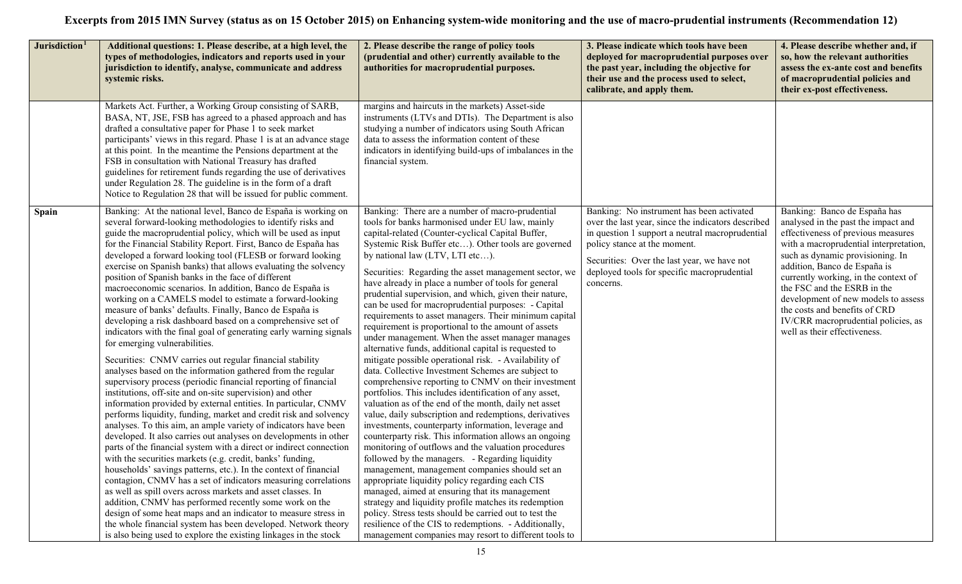| Jurisdiction <sup>1</sup> | Additional questions: 1. Please describe, at a high level, the<br>types of methodologies, indicators and reports used in your<br>jurisdiction to identify, analyse, communicate and address<br>systemic risks.                                                                                                                                                                                                                                                                                                                                                                                                                                                                                                                                                                                                                                                                                                                                                                                                                                                                                                                                                                                                                                                                                                                                                                                                                                                                                                                                                                                                                                                                                                                                                                                                                                                                                                                                                | 2. Please describe the range of policy tools<br>(prudential and other) currently available to the<br>authorities for macroprudential purposes.                                                                                                                                                                                                                                                                                                                                                                                                                                                                                                                                                                                                                                                                                                                                                                                                                                                                                                                                                                                                                                                                                                                                                                                                                                                                                                                                                                                                                                                                                                                                           | 3. Please indicate which tools have been<br>deployed for macroprudential purposes over<br>the past year, including the objective for<br>their use and the process used to select,<br>calibrate, and apply them.                                                                               | 4. Please describe whether and, if<br>so, how the relevant authorities<br>assess the ex-ante cost and benefits<br>of macroprudential policies and<br>their ex-post effectiveness.                                                                                                                                                                                                                                                             |
|---------------------------|---------------------------------------------------------------------------------------------------------------------------------------------------------------------------------------------------------------------------------------------------------------------------------------------------------------------------------------------------------------------------------------------------------------------------------------------------------------------------------------------------------------------------------------------------------------------------------------------------------------------------------------------------------------------------------------------------------------------------------------------------------------------------------------------------------------------------------------------------------------------------------------------------------------------------------------------------------------------------------------------------------------------------------------------------------------------------------------------------------------------------------------------------------------------------------------------------------------------------------------------------------------------------------------------------------------------------------------------------------------------------------------------------------------------------------------------------------------------------------------------------------------------------------------------------------------------------------------------------------------------------------------------------------------------------------------------------------------------------------------------------------------------------------------------------------------------------------------------------------------------------------------------------------------------------------------------------------------|------------------------------------------------------------------------------------------------------------------------------------------------------------------------------------------------------------------------------------------------------------------------------------------------------------------------------------------------------------------------------------------------------------------------------------------------------------------------------------------------------------------------------------------------------------------------------------------------------------------------------------------------------------------------------------------------------------------------------------------------------------------------------------------------------------------------------------------------------------------------------------------------------------------------------------------------------------------------------------------------------------------------------------------------------------------------------------------------------------------------------------------------------------------------------------------------------------------------------------------------------------------------------------------------------------------------------------------------------------------------------------------------------------------------------------------------------------------------------------------------------------------------------------------------------------------------------------------------------------------------------------------------------------------------------------------|-----------------------------------------------------------------------------------------------------------------------------------------------------------------------------------------------------------------------------------------------------------------------------------------------|-----------------------------------------------------------------------------------------------------------------------------------------------------------------------------------------------------------------------------------------------------------------------------------------------------------------------------------------------------------------------------------------------------------------------------------------------|
|                           | Markets Act. Further, a Working Group consisting of SARB,<br>BASA, NT, JSE, FSB has agreed to a phased approach and has<br>drafted a consultative paper for Phase 1 to seek market<br>participants' views in this regard. Phase 1 is at an advance stage<br>at this point. In the meantime the Pensions department at the<br>FSB in consultation with National Treasury has drafted<br>guidelines for retirement funds regarding the use of derivatives<br>under Regulation 28. The guideline is in the form of a draft<br>Notice to Regulation 28 that will be issued for public comment.                                                                                                                                                                                                                                                                                                                                                                                                                                                                                                                                                                                                                                                                                                                                                                                                                                                                                                                                                                                                                                                                                                                                                                                                                                                                                                                                                                    | margins and haircuts in the markets) Asset-side<br>instruments (LTVs and DTIs). The Department is also<br>studying a number of indicators using South African<br>data to assess the information content of these<br>indicators in identifying build-ups of imbalances in the<br>financial system.                                                                                                                                                                                                                                                                                                                                                                                                                                                                                                                                                                                                                                                                                                                                                                                                                                                                                                                                                                                                                                                                                                                                                                                                                                                                                                                                                                                        |                                                                                                                                                                                                                                                                                               |                                                                                                                                                                                                                                                                                                                                                                                                                                               |
| Spain                     | Banking: At the national level, Banco de España is working on<br>several forward-looking methodologies to identify risks and<br>guide the macroprudential policy, which will be used as input<br>for the Financial Stability Report. First, Banco de España has<br>developed a forward looking tool (FLESB or forward looking<br>exercise on Spanish banks) that allows evaluating the solvency<br>position of Spanish banks in the face of different<br>macroeconomic scenarios. In addition, Banco de España is<br>working on a CAMELS model to estimate a forward-looking<br>measure of banks' defaults. Finally, Banco de España is<br>developing a risk dashboard based on a comprehensive set of<br>indicators with the final goal of generating early warning signals<br>for emerging vulnerabilities.<br>Securities: CNMV carries out regular financial stability<br>analyses based on the information gathered from the regular<br>supervisory process (periodic financial reporting of financial<br>institutions, off-site and on-site supervision) and other<br>information provided by external entities. In particular, CNMV<br>performs liquidity, funding, market and credit risk and solvency<br>analyses. To this aim, an ample variety of indicators have been<br>developed. It also carries out analyses on developments in other<br>parts of the financial system with a direct or indirect connection<br>with the securities markets (e.g. credit, banks' funding,<br>households' savings patterns, etc.). In the context of financial<br>contagion, CNMV has a set of indicators measuring correlations<br>as well as spill overs across markets and asset classes. In<br>addition, CNMV has performed recently some work on the<br>design of some heat maps and an indicator to measure stress in<br>the whole financial system has been developed. Network theory<br>is also being used to explore the existing linkages in the stock | Banking: There are a number of macro-prudential<br>tools for banks harmonised under EU law, mainly<br>capital-related (Counter-cyclical Capital Buffer,<br>Systemic Risk Buffer etc). Other tools are governed<br>by national law (LTV, LTI etc).<br>Securities: Regarding the asset management sector, we<br>have already in place a number of tools for general<br>prudential supervision, and which, given their nature,<br>can be used for macroprudential purposes: - Capital<br>requirements to asset managers. Their minimum capital<br>requirement is proportional to the amount of assets<br>under management. When the asset manager manages<br>alternative funds, additional capital is requested to<br>mitigate possible operational risk. - Availability of<br>data. Collective Investment Schemes are subject to<br>comprehensive reporting to CNMV on their investment<br>portfolios. This includes identification of any asset,<br>valuation as of the end of the month, daily net asset<br>value, daily subscription and redemptions, derivatives<br>investments, counterparty information, leverage and<br>counterparty risk. This information allows an ongoing<br>monitoring of outflows and the valuation procedures<br>followed by the managers. - Regarding liquidity<br>management, management companies should set an<br>appropriate liquidity policy regarding each CIS<br>managed, aimed at ensuring that its management<br>strategy and liquidity profile matches its redemption<br>policy. Stress tests should be carried out to test the<br>resilience of the CIS to redemptions. - Additionally,<br>management companies may resort to different tools to | Banking: No instrument has been activated<br>over the last year, since the indicators described<br>in question 1 support a neutral macroprudential<br>policy stance at the moment.<br>Securities: Over the last year, we have not<br>deployed tools for specific macroprudential<br>concerns. | Banking: Banco de España has<br>analysed in the past the impact and<br>effectiveness of previous measures<br>with a macroprudential interpretation,<br>such as dynamic provisioning. In<br>addition, Banco de España is<br>currently working, in the context of<br>the FSC and the ESRB in the<br>development of new models to assess<br>the costs and benefits of CRD<br>IV/CRR macroprudential policies, as<br>well as their effectiveness. |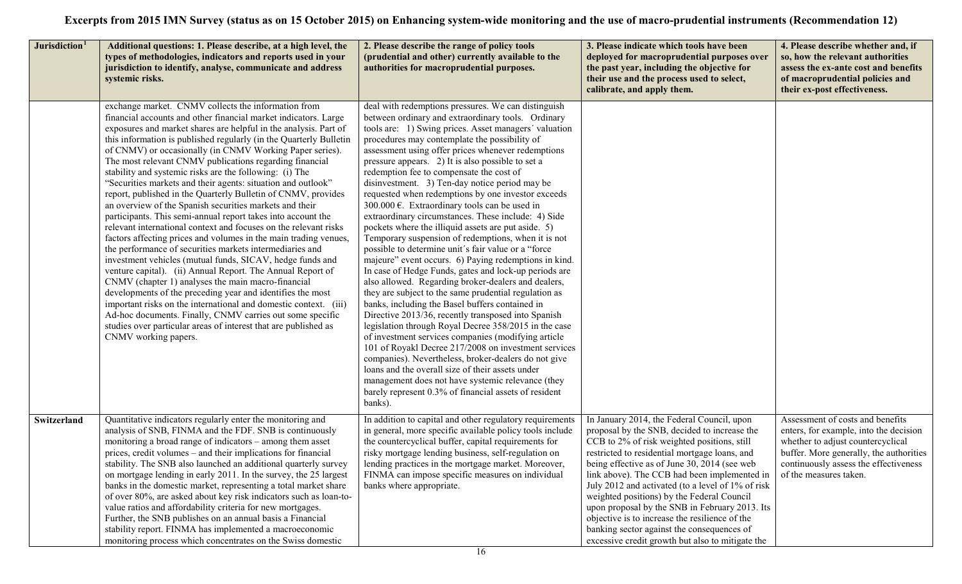| Jurisdiction <sup>1</sup> | Additional questions: 1. Please describe, at a high level, the<br>types of methodologies, indicators and reports used in your<br>jurisdiction to identify, analyse, communicate and address<br>systemic risks.                                                                                                                                                                                                                                                                                                                                                                                                                                                                                                                                                                                                                                                                                                                                                                                                                                                                                                                                                                                                                                                                                                                                                                                | 2. Please describe the range of policy tools<br>(prudential and other) currently available to the<br>authorities for macroprudential purposes.                                                                                                                                                                                                                                                                                                                                                                                                                                                                                                                                                                                                                                                                                                                                                                                                                                                                                                                                                                                                                                                                                                                                                                                                                                                                                                                                                                                      | 3. Please indicate which tools have been<br>deployed for macroprudential purposes over<br>the past year, including the objective for<br>their use and the process used to select,<br>calibrate, and apply them.                                                                                                                                                                                                                                                                                                                                                                                     | 4. Please describe whether and, if<br>so, how the relevant authorities<br>assess the ex-ante cost and benefits<br>of macroprudential policies and<br>their ex-post effectiveness.                                             |
|---------------------------|-----------------------------------------------------------------------------------------------------------------------------------------------------------------------------------------------------------------------------------------------------------------------------------------------------------------------------------------------------------------------------------------------------------------------------------------------------------------------------------------------------------------------------------------------------------------------------------------------------------------------------------------------------------------------------------------------------------------------------------------------------------------------------------------------------------------------------------------------------------------------------------------------------------------------------------------------------------------------------------------------------------------------------------------------------------------------------------------------------------------------------------------------------------------------------------------------------------------------------------------------------------------------------------------------------------------------------------------------------------------------------------------------|-------------------------------------------------------------------------------------------------------------------------------------------------------------------------------------------------------------------------------------------------------------------------------------------------------------------------------------------------------------------------------------------------------------------------------------------------------------------------------------------------------------------------------------------------------------------------------------------------------------------------------------------------------------------------------------------------------------------------------------------------------------------------------------------------------------------------------------------------------------------------------------------------------------------------------------------------------------------------------------------------------------------------------------------------------------------------------------------------------------------------------------------------------------------------------------------------------------------------------------------------------------------------------------------------------------------------------------------------------------------------------------------------------------------------------------------------------------------------------------------------------------------------------------|-----------------------------------------------------------------------------------------------------------------------------------------------------------------------------------------------------------------------------------------------------------------------------------------------------------------------------------------------------------------------------------------------------------------------------------------------------------------------------------------------------------------------------------------------------------------------------------------------------|-------------------------------------------------------------------------------------------------------------------------------------------------------------------------------------------------------------------------------|
|                           | exchange market. CNMV collects the information from<br>financial accounts and other financial market indicators. Large<br>exposures and market shares are helpful in the analysis. Part of<br>this information is published regularly (in the Quarterly Bulletin<br>of CNMV) or occasionally (in CNMV Working Paper series).<br>The most relevant CNMV publications regarding financial<br>stability and systemic risks are the following: (i) The<br>"Securities markets and their agents: situation and outlook"<br>report, published in the Quarterly Bulletin of CNMV, provides<br>an overview of the Spanish securities markets and their<br>participants. This semi-annual report takes into account the<br>relevant international context and focuses on the relevant risks<br>factors affecting prices and volumes in the main trading venues,<br>the performance of securities markets intermediaries and<br>investment vehicles (mutual funds, SICAV, hedge funds and<br>venture capital). (ii) Annual Report. The Annual Report of<br>CNMV (chapter 1) analyses the main macro-financial<br>developments of the preceding year and identifies the most<br>important risks on the international and domestic context. (iii)<br>Ad-hoc documents. Finally, CNMV carries out some specific<br>studies over particular areas of interest that are published as<br>CNMV working papers. | deal with redemptions pressures. We can distinguish<br>between ordinary and extraordinary tools. Ordinary<br>tools are: 1) Swing prices. Asset managers' valuation<br>procedures may contemplate the possibility of<br>assessment using offer prices whenever redemptions<br>pressure appears. 2) It is also possible to set a<br>redemption fee to compensate the cost of<br>disinvestment. 3) Ten-day notice period may be<br>requested when redemptions by one investor exceeds<br>300.000 $\epsilon$ . Extraordinary tools can be used in<br>extraordinary circumstances. These include: 4) Side<br>pockets where the illiquid assets are put aside. 5)<br>Temporary suspension of redemptions, when it is not<br>possible to determine unit's fair value or a "force"<br>majeure" event occurs. 6) Paying redemptions in kind.<br>In case of Hedge Funds, gates and lock-up periods are<br>also allowed. Regarding broker-dealers and dealers,<br>they are subject to the same prudential regulation as<br>banks, including the Basel buffers contained in<br>Directive 2013/36, recently transposed into Spanish<br>legislation through Royal Decree 358/2015 in the case<br>of investment services companies (modifying article<br>101 of Royakl Decree 217/2008 on investment services<br>companies). Nevertheless, broker-dealers do not give<br>loans and the overall size of their assets under<br>management does not have systemic relevance (they<br>barely represent 0.3% of financial assets of resident<br>banks). |                                                                                                                                                                                                                                                                                                                                                                                                                                                                                                                                                                                                     |                                                                                                                                                                                                                               |
| Switzerland               | Quantitative indicators regularly enter the monitoring and<br>analysis of SNB, FINMA and the FDF. SNB is continuously<br>monitoring a broad range of indicators – among them asset<br>prices, credit volumes – and their implications for financial<br>stability. The SNB also launched an additional quarterly survey<br>on mortgage lending in early 2011. In the survey, the 25 largest<br>banks in the domestic market, representing a total market share<br>of over 80%, are asked about key risk indicators such as loan-to-<br>value ratios and affordability criteria for new mortgages.<br>Further, the SNB publishes on an annual basis a Financial<br>stability report. FINMA has implemented a macroeconomic<br>monitoring process which concentrates on the Swiss domestic                                                                                                                                                                                                                                                                                                                                                                                                                                                                                                                                                                                                       | In addition to capital and other regulatory requirements<br>in general, more specific available policy tools include<br>the countercyclical buffer, capital requirements for<br>risky mortgage lending business, self-regulation on<br>lending practices in the mortgage market. Moreover,<br>FINMA can impose specific measures on individual<br>banks where appropriate.                                                                                                                                                                                                                                                                                                                                                                                                                                                                                                                                                                                                                                                                                                                                                                                                                                                                                                                                                                                                                                                                                                                                                          | In January 2014, the Federal Council, upon<br>proposal by the SNB, decided to increase the<br>CCB to 2% of risk weighted positions, still<br>restricted to residential mortgage loans, and<br>being effective as of June 30, 2014 (see web<br>link above). The CCB had been implemented in<br>July 2012 and activated (to a level of 1% of risk<br>weighted positions) by the Federal Council<br>upon proposal by the SNB in February 2013. Its<br>objective is to increase the resilience of the<br>banking sector against the consequences of<br>excessive credit growth but also to mitigate the | Assessment of costs and benefits<br>enters, for example, into the decision<br>whether to adjust countercyclical<br>buffer. More generally, the authorities<br>continuously assess the effectiveness<br>of the measures taken. |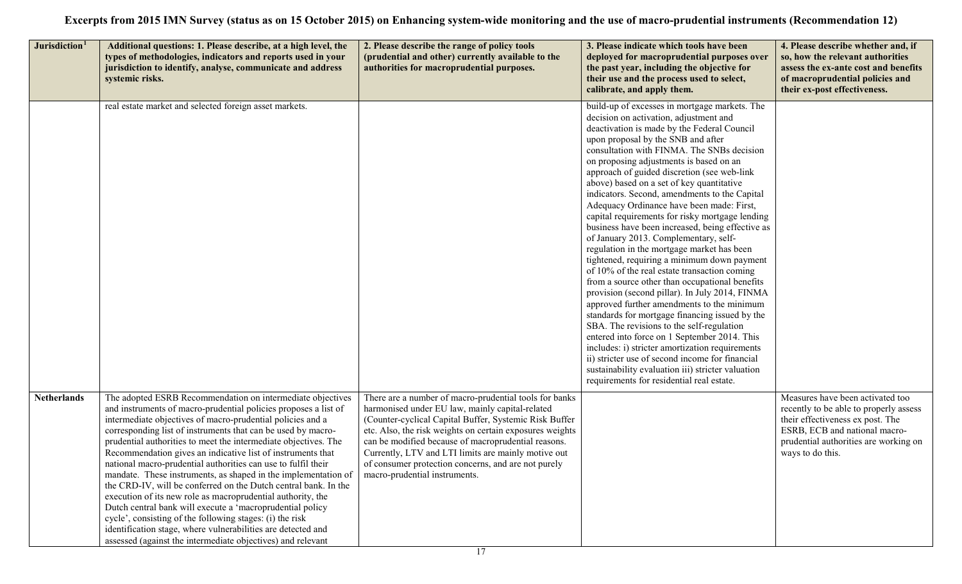| Jurisdiction <sup>1</sup> | Additional questions: 1. Please describe, at a high level, the<br>types of methodologies, indicators and reports used in your<br>jurisdiction to identify, analyse, communicate and address<br>systemic risks.                                                                                                                                                                                                                                                                                                                                                                                                                                                                                                                                                                                                                                                                                                             | 2. Please describe the range of policy tools<br>(prudential and other) currently available to the<br>authorities for macroprudential purposes.                                                                                                                                                                                                                                                                                        | 3. Please indicate which tools have been<br>deployed for macroprudential purposes over<br>the past year, including the objective for<br>their use and the process used to select,<br>calibrate, and apply them.                                                                                                                                                                                                                                                                                                                                                                                                                                                                                                                                                                                                                                                                                                                                                                                                                                                                                                                                                                                                                                                       | 4. Please describe whether and, if<br>so, how the relevant authorities<br>assess the ex-ante cost and benefits<br>of macroprudential policies and<br>their ex-post effectiveness.                            |
|---------------------------|----------------------------------------------------------------------------------------------------------------------------------------------------------------------------------------------------------------------------------------------------------------------------------------------------------------------------------------------------------------------------------------------------------------------------------------------------------------------------------------------------------------------------------------------------------------------------------------------------------------------------------------------------------------------------------------------------------------------------------------------------------------------------------------------------------------------------------------------------------------------------------------------------------------------------|---------------------------------------------------------------------------------------------------------------------------------------------------------------------------------------------------------------------------------------------------------------------------------------------------------------------------------------------------------------------------------------------------------------------------------------|-----------------------------------------------------------------------------------------------------------------------------------------------------------------------------------------------------------------------------------------------------------------------------------------------------------------------------------------------------------------------------------------------------------------------------------------------------------------------------------------------------------------------------------------------------------------------------------------------------------------------------------------------------------------------------------------------------------------------------------------------------------------------------------------------------------------------------------------------------------------------------------------------------------------------------------------------------------------------------------------------------------------------------------------------------------------------------------------------------------------------------------------------------------------------------------------------------------------------------------------------------------------------|--------------------------------------------------------------------------------------------------------------------------------------------------------------------------------------------------------------|
|                           | real estate market and selected foreign asset markets.                                                                                                                                                                                                                                                                                                                                                                                                                                                                                                                                                                                                                                                                                                                                                                                                                                                                     |                                                                                                                                                                                                                                                                                                                                                                                                                                       | build-up of excesses in mortgage markets. The<br>decision on activation, adjustment and<br>deactivation is made by the Federal Council<br>upon proposal by the SNB and after<br>consultation with FINMA. The SNBs decision<br>on proposing adjustments is based on an<br>approach of guided discretion (see web-link<br>above) based on a set of key quantitative<br>indicators. Second, amendments to the Capital<br>Adequacy Ordinance have been made: First,<br>capital requirements for risky mortgage lending<br>business have been increased, being effective as<br>of January 2013. Complementary, self-<br>regulation in the mortgage market has been<br>tightened, requiring a minimum down payment<br>of 10% of the real estate transaction coming<br>from a source other than occupational benefits<br>provision (second pillar). In July 2014, FINMA<br>approved further amendments to the minimum<br>standards for mortgage financing issued by the<br>SBA. The revisions to the self-regulation<br>entered into force on 1 September 2014. This<br>includes: i) stricter amortization requirements<br>ii) stricter use of second income for financial<br>sustainability evaluation iii) stricter valuation<br>requirements for residential real estate. |                                                                                                                                                                                                              |
| <b>Netherlands</b>        | The adopted ESRB Recommendation on intermediate objectives<br>and instruments of macro-prudential policies proposes a list of<br>intermediate objectives of macro-prudential policies and a<br>corresponding list of instruments that can be used by macro-<br>prudential authorities to meet the intermediate objectives. The<br>Recommendation gives an indicative list of instruments that<br>national macro-prudential authorities can use to fulfil their<br>mandate. These instruments, as shaped in the implementation of<br>the CRD-IV, will be conferred on the Dutch central bank. In the<br>execution of its new role as macroprudential authority, the<br>Dutch central bank will execute a 'macroprudential policy<br>cycle', consisting of the following stages: (i) the risk<br>identification stage, where vulnerabilities are detected and<br>assessed (against the intermediate objectives) and relevant | There are a number of macro-prudential tools for banks<br>harmonised under EU law, mainly capital-related<br>(Counter-cyclical Capital Buffer, Systemic Risk Buffer<br>etc. Also, the risk weights on certain exposures weights<br>can be modified because of macroprudential reasons.<br>Currently, LTV and LTI limits are mainly motive out<br>of consumer protection concerns, and are not purely<br>macro-prudential instruments. |                                                                                                                                                                                                                                                                                                                                                                                                                                                                                                                                                                                                                                                                                                                                                                                                                                                                                                                                                                                                                                                                                                                                                                                                                                                                       | Measures have been activated too<br>recently to be able to properly assess<br>their effectiveness ex post. The<br>ESRB, ECB and national macro-<br>prudential authorities are working on<br>ways to do this. |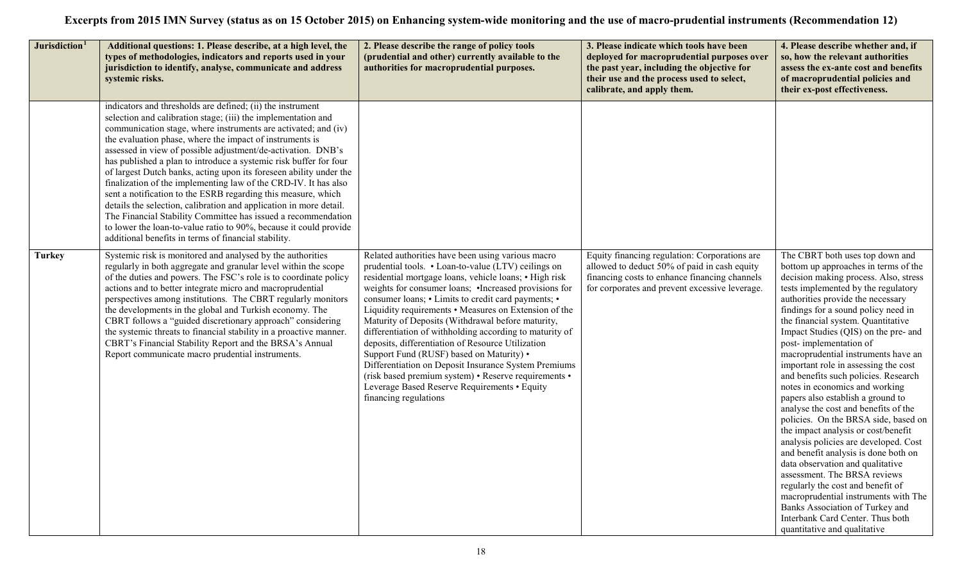| Jurisdiction <sup>1</sup> | Additional questions: 1. Please describe, at a high level, the<br>types of methodologies, indicators and reports used in your<br>jurisdiction to identify, analyse, communicate and address<br>systemic risks.                                                                                                                                                                                                                                                                                                                                                                                                                                                                                                                                                                                                                                                               | 2. Please describe the range of policy tools<br>(prudential and other) currently available to the<br>authorities for macroprudential purposes.                                                                                                                                                                                                                                                                                                                                                                                                                                                                                                                                                                                                        | 3. Please indicate which tools have been<br>deployed for macroprudential purposes over<br>the past year, including the objective for<br>their use and the process used to select,<br>calibrate, and apply them. | 4. Please describe whether and, if<br>so, how the relevant authorities<br>assess the ex-ante cost and benefits<br>of macroprudential policies and<br>their ex-post effectiveness.                                                                                                                                                                                                                                                                                                                                                                                                                                                                                                                                                                                                                                                                                                                                                                                                                         |
|---------------------------|------------------------------------------------------------------------------------------------------------------------------------------------------------------------------------------------------------------------------------------------------------------------------------------------------------------------------------------------------------------------------------------------------------------------------------------------------------------------------------------------------------------------------------------------------------------------------------------------------------------------------------------------------------------------------------------------------------------------------------------------------------------------------------------------------------------------------------------------------------------------------|-------------------------------------------------------------------------------------------------------------------------------------------------------------------------------------------------------------------------------------------------------------------------------------------------------------------------------------------------------------------------------------------------------------------------------------------------------------------------------------------------------------------------------------------------------------------------------------------------------------------------------------------------------------------------------------------------------------------------------------------------------|-----------------------------------------------------------------------------------------------------------------------------------------------------------------------------------------------------------------|-----------------------------------------------------------------------------------------------------------------------------------------------------------------------------------------------------------------------------------------------------------------------------------------------------------------------------------------------------------------------------------------------------------------------------------------------------------------------------------------------------------------------------------------------------------------------------------------------------------------------------------------------------------------------------------------------------------------------------------------------------------------------------------------------------------------------------------------------------------------------------------------------------------------------------------------------------------------------------------------------------------|
|                           | indicators and thresholds are defined; (ii) the instrument<br>selection and calibration stage; (iii) the implementation and<br>communication stage, where instruments are activated; and (iv)<br>the evaluation phase, where the impact of instruments is<br>assessed in view of possible adjustment/de-activation. DNB's<br>has published a plan to introduce a systemic risk buffer for four<br>of largest Dutch banks, acting upon its foreseen ability under the<br>finalization of the implementing law of the CRD-IV. It has also<br>sent a notification to the ESRB regarding this measure, which<br>details the selection, calibration and application in more detail.<br>The Financial Stability Committee has issued a recommendation<br>to lower the loan-to-value ratio to 90%, because it could provide<br>additional benefits in terms of financial stability. |                                                                                                                                                                                                                                                                                                                                                                                                                                                                                                                                                                                                                                                                                                                                                       |                                                                                                                                                                                                                 |                                                                                                                                                                                                                                                                                                                                                                                                                                                                                                                                                                                                                                                                                                                                                                                                                                                                                                                                                                                                           |
| <b>Turkey</b>             | Systemic risk is monitored and analysed by the authorities<br>regularly in both aggregate and granular level within the scope<br>of the duties and powers. The FSC's role is to coordinate policy<br>actions and to better integrate micro and macroprudential<br>perspectives among institutions. The CBRT regularly monitors<br>the developments in the global and Turkish economy. The<br>CBRT follows a "guided discretionary approach" considering<br>the systemic threats to financial stability in a proactive manner.<br>CBRT's Financial Stability Report and the BRSA's Annual<br>Report communicate macro prudential instruments.                                                                                                                                                                                                                                 | Related authorities have been using various macro<br>prudential tools. • Loan-to-value (LTV) ceilings on<br>residential mortgage loans, vehicle loans; • High risk<br>weights for consumer loans; •Increased provisions for<br>consumer loans; • Limits to credit card payments; •<br>Liquidity requirements • Measures on Extension of the<br>Maturity of Deposits (Withdrawal before maturity,<br>differentiation of withholding according to maturity of<br>deposits, differentiation of Resource Utilization<br>Support Fund (RUSF) based on Maturity) •<br>Differentiation on Deposit Insurance System Premiums<br>(risk based premium system) • Reserve requirements •<br>Leverage Based Reserve Requirements • Equity<br>financing regulations | Equity financing regulation: Corporations are<br>allowed to deduct 50% of paid in cash equity<br>financing costs to enhance financing channels<br>for corporates and prevent excessive leverage.                | The CBRT both uses top down and<br>bottom up approaches in terms of the<br>decision making process. Also, stress<br>tests implemented by the regulatory<br>authorities provide the necessary<br>findings for a sound policy need in<br>the financial system. Quantitative<br>Impact Studies (QIS) on the pre- and<br>post-implementation of<br>macroprudential instruments have an<br>important role in assessing the cost<br>and benefits such policies. Research<br>notes in economics and working<br>papers also establish a ground to<br>analyse the cost and benefits of the<br>policies. On the BRSA side, based on<br>the impact analysis or cost/benefit<br>analysis policies are developed. Cost<br>and benefit analysis is done both on<br>data observation and qualitative<br>assessment. The BRSA reviews<br>regularly the cost and benefit of<br>macroprudential instruments with The<br>Banks Association of Turkey and<br>Interbank Card Center. Thus both<br>quantitative and qualitative |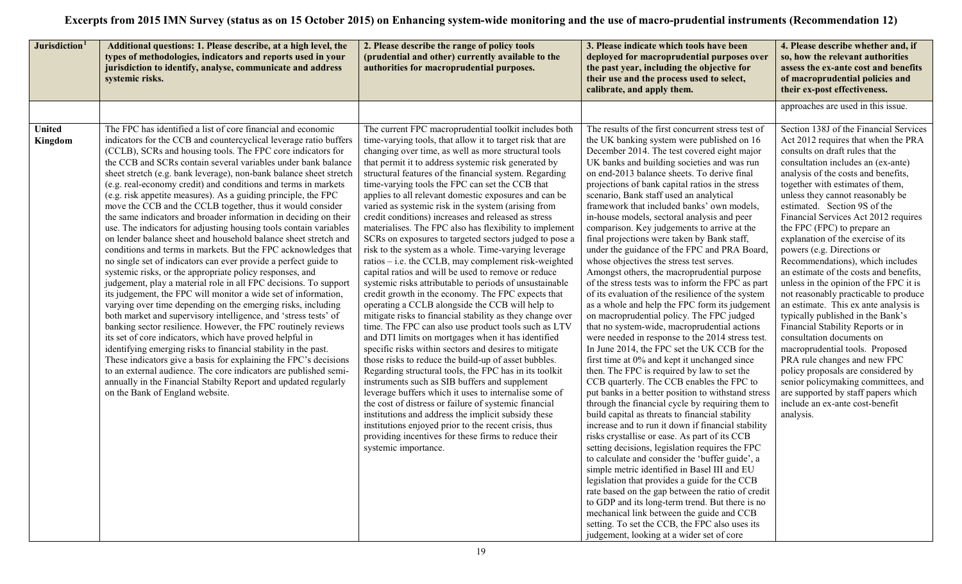| Jurisdiction <sup>1</sup> | Additional questions: 1. Please describe, at a high level, the<br>types of methodologies, indicators and reports used in your<br>jurisdiction to identify, analyse, communicate and address<br>systemic risks.                                                                                                                                                                                                                                                                                                                                                                                                                                                                                                                                                                                                                                                                                                                                                                                                                                                                                                                                                                                                                                                                                                                                                                                                                                                                                                                                                                                                                                                               | 2. Please describe the range of policy tools<br>(prudential and other) currently available to the<br>authorities for macroprudential purposes.                                                                                                                                                                                                                                                                                                                                                                                                                                                                                                                                                                                                                                                                                                                                                                                                                                                                                                                                                                                                                                                                                                                                                                                                                                                                                                                                                                                                                                                                                                                                                                   | 3. Please indicate which tools have been<br>deployed for macroprudential purposes over<br>the past year, including the objective for<br>their use and the process used to select,<br>calibrate, and apply them.                                                                                                                                                                                                                                                                                                                                                                                                                                                                                                                                                                                                                                                                                                                                                                                                                                                                                                                                                                                                                                                                                                                                                                                                                                                                                                                                                                                                                                                                                                                                                                                                                                                                                                            | 4. Please describe whether and, if<br>so, how the relevant authorities<br>assess the ex-ante cost and benefits<br>of macroprudential policies and<br>their ex-post effectiveness.                                                                                                                                                                                                                                                                                                                                                                                                                                                                                                                                                                                                                                                                                                                                                                                                                         |
|---------------------------|------------------------------------------------------------------------------------------------------------------------------------------------------------------------------------------------------------------------------------------------------------------------------------------------------------------------------------------------------------------------------------------------------------------------------------------------------------------------------------------------------------------------------------------------------------------------------------------------------------------------------------------------------------------------------------------------------------------------------------------------------------------------------------------------------------------------------------------------------------------------------------------------------------------------------------------------------------------------------------------------------------------------------------------------------------------------------------------------------------------------------------------------------------------------------------------------------------------------------------------------------------------------------------------------------------------------------------------------------------------------------------------------------------------------------------------------------------------------------------------------------------------------------------------------------------------------------------------------------------------------------------------------------------------------------|------------------------------------------------------------------------------------------------------------------------------------------------------------------------------------------------------------------------------------------------------------------------------------------------------------------------------------------------------------------------------------------------------------------------------------------------------------------------------------------------------------------------------------------------------------------------------------------------------------------------------------------------------------------------------------------------------------------------------------------------------------------------------------------------------------------------------------------------------------------------------------------------------------------------------------------------------------------------------------------------------------------------------------------------------------------------------------------------------------------------------------------------------------------------------------------------------------------------------------------------------------------------------------------------------------------------------------------------------------------------------------------------------------------------------------------------------------------------------------------------------------------------------------------------------------------------------------------------------------------------------------------------------------------------------------------------------------------|----------------------------------------------------------------------------------------------------------------------------------------------------------------------------------------------------------------------------------------------------------------------------------------------------------------------------------------------------------------------------------------------------------------------------------------------------------------------------------------------------------------------------------------------------------------------------------------------------------------------------------------------------------------------------------------------------------------------------------------------------------------------------------------------------------------------------------------------------------------------------------------------------------------------------------------------------------------------------------------------------------------------------------------------------------------------------------------------------------------------------------------------------------------------------------------------------------------------------------------------------------------------------------------------------------------------------------------------------------------------------------------------------------------------------------------------------------------------------------------------------------------------------------------------------------------------------------------------------------------------------------------------------------------------------------------------------------------------------------------------------------------------------------------------------------------------------------------------------------------------------------------------------------------------------|-----------------------------------------------------------------------------------------------------------------------------------------------------------------------------------------------------------------------------------------------------------------------------------------------------------------------------------------------------------------------------------------------------------------------------------------------------------------------------------------------------------------------------------------------------------------------------------------------------------------------------------------------------------------------------------------------------------------------------------------------------------------------------------------------------------------------------------------------------------------------------------------------------------------------------------------------------------------------------------------------------------|
|                           |                                                                                                                                                                                                                                                                                                                                                                                                                                                                                                                                                                                                                                                                                                                                                                                                                                                                                                                                                                                                                                                                                                                                                                                                                                                                                                                                                                                                                                                                                                                                                                                                                                                                              |                                                                                                                                                                                                                                                                                                                                                                                                                                                                                                                                                                                                                                                                                                                                                                                                                                                                                                                                                                                                                                                                                                                                                                                                                                                                                                                                                                                                                                                                                                                                                                                                                                                                                                                  |                                                                                                                                                                                                                                                                                                                                                                                                                                                                                                                                                                                                                                                                                                                                                                                                                                                                                                                                                                                                                                                                                                                                                                                                                                                                                                                                                                                                                                                                                                                                                                                                                                                                                                                                                                                                                                                                                                                            | approaches are used in this issue.                                                                                                                                                                                                                                                                                                                                                                                                                                                                                                                                                                                                                                                                                                                                                                                                                                                                                                                                                                        |
| <b>United</b><br>Kingdom  | The FPC has identified a list of core financial and economic<br>indicators for the CCB and countercyclical leverage ratio buffers<br>(CCLB), SCRs and housing tools. The FPC core indicators for<br>the CCB and SCRs contain several variables under bank balance<br>sheet stretch (e.g. bank leverage), non-bank balance sheet stretch<br>(e.g. real-economy credit) and conditions and terms in markets<br>(e.g. risk appetite measures). As a guiding principle, the FPC<br>move the CCB and the CCLB together, thus it would consider<br>the same indicators and broader information in deciding on their<br>use. The indicators for adjusting housing tools contain variables<br>on lender balance sheet and household balance sheet stretch and<br>conditions and terms in markets. But the FPC acknowledges that<br>no single set of indicators can ever provide a perfect guide to<br>systemic risks, or the appropriate policy responses, and<br>judgement, play a material role in all FPC decisions. To support<br>its judgement, the FPC will monitor a wide set of information,<br>varying over time depending on the emerging risks, including<br>both market and supervisory intelligence, and 'stress tests' of<br>banking sector resilience. However, the FPC routinely reviews<br>its set of core indicators, which have proved helpful in<br>identifying emerging risks to financial stability in the past.<br>These indicators give a basis for explaining the FPC's decisions<br>to an external audience. The core indicators are published semi-<br>annually in the Financial Stabilty Report and updated regularly<br>on the Bank of England website. | The current FPC macroprudential toolkit includes both<br>time-varying tools, that allow it to target risk that are<br>changing over time, as well as more structural tools<br>that permit it to address systemic risk generated by<br>structural features of the financial system. Regarding<br>time-varying tools the FPC can set the CCB that<br>applies to all relevant domestic exposures and can be<br>varied as systemic risk in the system (arising from<br>credit conditions) increases and released as stress<br>materialises. The FPC also has flexibility to implement<br>SCRs on exposures to targeted sectors judged to pose a<br>risk to the system as a whole. Time-varying leverage<br>ratios – i.e. the CCLB, may complement risk-weighted<br>capital ratios and will be used to remove or reduce<br>systemic risks attributable to periods of unsustainable<br>credit growth in the economy. The FPC expects that<br>operating a CCLB alongside the CCB will help to<br>mitigate risks to financial stability as they change over<br>time. The FPC can also use product tools such as LTV<br>and DTI limits on mortgages when it has identified<br>specific risks within sectors and desires to mitigate<br>those risks to reduce the build-up of asset bubbles.<br>Regarding structural tools, the FPC has in its toolkit<br>instruments such as SIB buffers and supplement<br>leverage buffers which it uses to internalise some of<br>the cost of distress or failure of systemic financial<br>institutions and address the implicit subsidy these<br>institutions enjoyed prior to the recent crisis, thus<br>providing incentives for these firms to reduce their<br>systemic importance. | The results of the first concurrent stress test of<br>the UK banking system were published on 16<br>December 2014. The test covered eight major<br>UK banks and building societies and was run<br>on end-2013 balance sheets. To derive final<br>projections of bank capital ratios in the stress<br>scenario, Bank staff used an analytical<br>framework that included banks' own models,<br>in-house models, sectoral analysis and peer<br>comparison. Key judgements to arrive at the<br>final projections were taken by Bank staff,<br>under the guidance of the FPC and PRA Board,<br>whose objectives the stress test serves.<br>Amongst others, the macroprudential purpose<br>of the stress tests was to inform the FPC as part<br>of its evaluation of the resilience of the system<br>as a whole and help the FPC form its judgement<br>on macroprudential policy. The FPC judged<br>that no system-wide, macroprudential actions<br>were needed in response to the 2014 stress test.<br>In June 2014, the FPC set the UK CCB for the<br>first time at 0% and kept it unchanged since<br>then. The FPC is required by law to set the<br>CCB quarterly. The CCB enables the FPC to<br>put banks in a better position to withstand stress<br>through the financial cycle by requiring them to<br>build capital as threats to financial stability<br>increase and to run it down if financial stability<br>risks crystallise or ease. As part of its CCB<br>setting decisions, legislation requires the FPC<br>to calculate and consider the 'buffer guide', a<br>simple metric identified in Basel III and EU<br>legislation that provides a guide for the CCB<br>rate based on the gap between the ratio of credit<br>to GDP and its long-term trend. But there is no<br>mechanical link between the guide and CCB<br>setting. To set the CCB, the FPC also uses its<br>judgement, looking at a wider set of core | Section 138J of the Financial Services<br>Act 2012 requires that when the PRA<br>consults on draft rules that the<br>consultation includes an (ex-ante)<br>analysis of the costs and benefits,<br>together with estimates of them,<br>unless they cannot reasonably be<br>estimated. Section 9S of the<br>Financial Services Act 2012 requires<br>the FPC (FPC) to prepare an<br>explanation of the exercise of its<br>powers (e.g. Directions or<br>Recommendations), which includes<br>an estimate of the costs and benefits,<br>unless in the opinion of the FPC it is<br>not reasonably practicable to produce<br>an estimate. This ex ante analysis is<br>typically published in the Bank's<br>Financial Stability Reports or in<br>consultation documents on<br>macroprudential tools. Proposed<br>PRA rule changes and new FPC<br>policy proposals are considered by<br>senior policymaking committees, and<br>are supported by staff papers which<br>include an ex-ante cost-benefit<br>analysis. |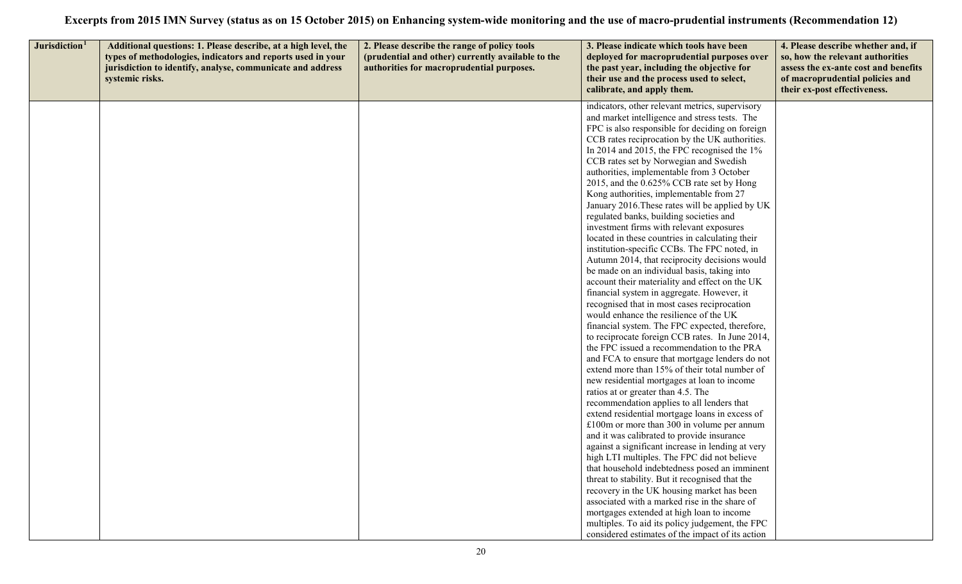| Jurisdiction <sup>1</sup> | Additional questions: 1. Please describe, at a high level, the<br>types of methodologies, indicators and reports used in your<br>jurisdiction to identify, analyse, communicate and address<br>systemic risks. | 2. Please describe the range of policy tools<br>(prudential and other) currently available to the<br>authorities for macroprudential purposes. | 3. Please indicate which tools have been<br>deployed for macroprudential purposes over<br>the past year, including the objective for<br>their use and the process used to select,<br>calibrate, and apply them.                                                                                                                                                                                                                                                                                                                                                                                                                                                                                                                                                                                                                                                                                                                                                                                                                                                                                                                                                                                                                                                                                                                                                                                                                                                                                                                                                                                                                                                                                                                                                          | 4. Please describe whether and, if<br>so, how the relevant authorities<br>assess the ex-ante cost and benefits<br>of macroprudential policies and<br>their ex-post effectiveness. |
|---------------------------|----------------------------------------------------------------------------------------------------------------------------------------------------------------------------------------------------------------|------------------------------------------------------------------------------------------------------------------------------------------------|--------------------------------------------------------------------------------------------------------------------------------------------------------------------------------------------------------------------------------------------------------------------------------------------------------------------------------------------------------------------------------------------------------------------------------------------------------------------------------------------------------------------------------------------------------------------------------------------------------------------------------------------------------------------------------------------------------------------------------------------------------------------------------------------------------------------------------------------------------------------------------------------------------------------------------------------------------------------------------------------------------------------------------------------------------------------------------------------------------------------------------------------------------------------------------------------------------------------------------------------------------------------------------------------------------------------------------------------------------------------------------------------------------------------------------------------------------------------------------------------------------------------------------------------------------------------------------------------------------------------------------------------------------------------------------------------------------------------------------------------------------------------------|-----------------------------------------------------------------------------------------------------------------------------------------------------------------------------------|
|                           |                                                                                                                                                                                                                |                                                                                                                                                | indicators, other relevant metrics, supervisory<br>and market intelligence and stress tests. The<br>FPC is also responsible for deciding on foreign<br>CCB rates reciprocation by the UK authorities.<br>In 2014 and 2015, the FPC recognised the 1%<br>CCB rates set by Norwegian and Swedish<br>authorities, implementable from 3 October<br>2015, and the 0.625% CCB rate set by Hong<br>Kong authorities, implementable from 27<br>January 2016. These rates will be applied by UK<br>regulated banks, building societies and<br>investment firms with relevant exposures<br>located in these countries in calculating their<br>institution-specific CCBs. The FPC noted, in<br>Autumn 2014, that reciprocity decisions would<br>be made on an individual basis, taking into<br>account their materiality and effect on the UK<br>financial system in aggregate. However, it<br>recognised that in most cases reciprocation<br>would enhance the resilience of the UK<br>financial system. The FPC expected, therefore,<br>to reciprocate foreign CCB rates. In June 2014,<br>the FPC issued a recommendation to the PRA<br>and FCA to ensure that mortgage lenders do not<br>extend more than 15% of their total number of<br>new residential mortgages at loan to income<br>ratios at or greater than 4.5. The<br>recommendation applies to all lenders that<br>extend residential mortgage loans in excess of<br>$£100m$ or more than 300 in volume per annum<br>and it was calibrated to provide insurance<br>against a significant increase in lending at very<br>high LTI multiples. The FPC did not believe<br>that household indebtedness posed an imminent<br>threat to stability. But it recognised that the<br>recovery in the UK housing market has been |                                                                                                                                                                                   |
|                           |                                                                                                                                                                                                                |                                                                                                                                                | associated with a marked rise in the share of<br>mortgages extended at high loan to income<br>multiples. To aid its policy judgement, the FPC<br>considered estimates of the impact of its action                                                                                                                                                                                                                                                                                                                                                                                                                                                                                                                                                                                                                                                                                                                                                                                                                                                                                                                                                                                                                                                                                                                                                                                                                                                                                                                                                                                                                                                                                                                                                                        |                                                                                                                                                                                   |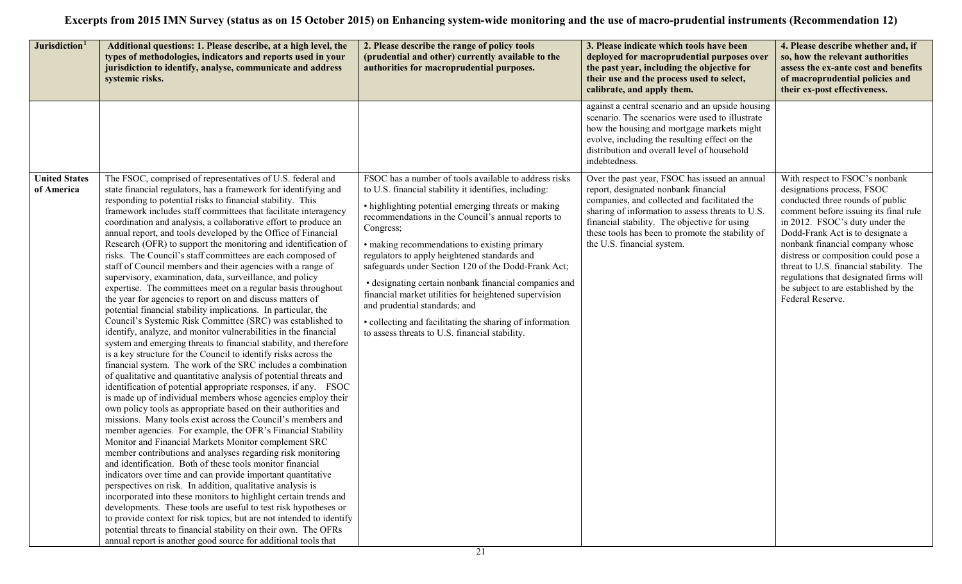| Jurisdiction <sup>1</sup>          | Additional questions: 1. Please describe, at a high level, the<br>types of methodologies, indicators and reports used in your<br>jurisdiction to identify, analyse, communicate and address<br>systemic risks.                                                                                                                                                                                                                                                                                                                                                                                                                                                                                                                                                                                                                                                                                                                                                                                                                                                                                                                                                                                                                                                                                                                                                                                                                                                                                                                                                                                                                                                                                                                                                                                                                                                                                                                                                                                                                                                                                                                                                                                                                                                                     | 2. Please describe the range of policy tools<br>(prudential and other) currently available to the<br>authorities for macroprudential purposes.                                                                                                                                                                                                                                                                                                                                                                                                                                                                                                                   | 3. Please indicate which tools have been<br>deployed for macroprudential purposes over<br>the past year, including the objective for<br>their use and the process used to select,<br>calibrate, and apply them.                                                                                                             | 4. Please describe whether and, if<br>so, how the relevant authorities<br>assess the ex-ante cost and benefits<br>of macroprudential policies and<br>their ex-post effectiveness.                                                                                                                                                                                                                                                           |
|------------------------------------|------------------------------------------------------------------------------------------------------------------------------------------------------------------------------------------------------------------------------------------------------------------------------------------------------------------------------------------------------------------------------------------------------------------------------------------------------------------------------------------------------------------------------------------------------------------------------------------------------------------------------------------------------------------------------------------------------------------------------------------------------------------------------------------------------------------------------------------------------------------------------------------------------------------------------------------------------------------------------------------------------------------------------------------------------------------------------------------------------------------------------------------------------------------------------------------------------------------------------------------------------------------------------------------------------------------------------------------------------------------------------------------------------------------------------------------------------------------------------------------------------------------------------------------------------------------------------------------------------------------------------------------------------------------------------------------------------------------------------------------------------------------------------------------------------------------------------------------------------------------------------------------------------------------------------------------------------------------------------------------------------------------------------------------------------------------------------------------------------------------------------------------------------------------------------------------------------------------------------------------------------------------------------------|------------------------------------------------------------------------------------------------------------------------------------------------------------------------------------------------------------------------------------------------------------------------------------------------------------------------------------------------------------------------------------------------------------------------------------------------------------------------------------------------------------------------------------------------------------------------------------------------------------------------------------------------------------------|-----------------------------------------------------------------------------------------------------------------------------------------------------------------------------------------------------------------------------------------------------------------------------------------------------------------------------|---------------------------------------------------------------------------------------------------------------------------------------------------------------------------------------------------------------------------------------------------------------------------------------------------------------------------------------------------------------------------------------------------------------------------------------------|
|                                    |                                                                                                                                                                                                                                                                                                                                                                                                                                                                                                                                                                                                                                                                                                                                                                                                                                                                                                                                                                                                                                                                                                                                                                                                                                                                                                                                                                                                                                                                                                                                                                                                                                                                                                                                                                                                                                                                                                                                                                                                                                                                                                                                                                                                                                                                                    |                                                                                                                                                                                                                                                                                                                                                                                                                                                                                                                                                                                                                                                                  | against a central scenario and an upside housing<br>scenario. The scenarios were used to illustrate<br>how the housing and mortgage markets might<br>evolve, including the resulting effect on the<br>distribution and overall level of household<br>indebtedness.                                                          |                                                                                                                                                                                                                                                                                                                                                                                                                                             |
| <b>United States</b><br>of America | The FSOC, comprised of representatives of U.S. federal and<br>state financial regulators, has a framework for identifying and<br>responding to potential risks to financial stability. This<br>framework includes staff committees that facilitate interagency<br>coordination and analysis, a collaborative effort to produce an<br>annual report, and tools developed by the Office of Financial<br>Research (OFR) to support the monitoring and identification of<br>risks. The Council's staff committees are each composed of<br>staff of Council members and their agencies with a range of<br>supervisory, examination, data, surveillance, and policy<br>expertise. The committees meet on a regular basis throughout<br>the year for agencies to report on and discuss matters of<br>potential financial stability implications. In particular, the<br>Council's Systemic Risk Committee (SRC) was established to<br>identify, analyze, and monitor vulnerabilities in the financial<br>system and emerging threats to financial stability, and therefore<br>is a key structure for the Council to identify risks across the<br>financial system. The work of the SRC includes a combination<br>of qualitative and quantitative analysis of potential threats and<br>identification of potential appropriate responses, if any. FSOC<br>is made up of individual members whose agencies employ their<br>own policy tools as appropriate based on their authorities and<br>missions. Many tools exist across the Council's members and<br>member agencies. For example, the OFR's Financial Stability<br>Monitor and Financial Markets Monitor complement SRC<br>member contributions and analyses regarding risk monitoring<br>and identification. Both of these tools monitor financial<br>indicators over time and can provide important quantitative<br>perspectives on risk. In addition, qualitative analysis is<br>incorporated into these monitors to highlight certain trends and<br>developments. These tools are useful to test risk hypotheses or<br>to provide context for risk topics, but are not intended to identify<br>potential threats to financial stability on their own. The OFRs<br>annual report is another good source for additional tools that | FSOC has a number of tools available to address risks<br>to U.S. financial stability it identifies, including:<br>• highlighting potential emerging threats or making<br>recommendations in the Council's annual reports to<br>Congress;<br>• making recommendations to existing primary<br>regulators to apply heightened standards and<br>safeguards under Section 120 of the Dodd-Frank Act;<br>• designating certain nonbank financial companies and<br>financial market utilities for heightened supervision<br>and prudential standards; and<br>• collecting and facilitating the sharing of information<br>to assess threats to U.S. financial stability. | Over the past year, FSOC has issued an annual<br>report, designated nonbank financial<br>companies, and collected and facilitated the<br>sharing of information to assess threats to U.S.<br>financial stability. The objective for using<br>these tools has been to promote the stability of<br>the U.S. financial system. | With respect to FSOC's nonbank<br>designations process, FSOC<br>conducted three rounds of public<br>comment before issuing its final rule<br>in 2012. FSOC's duty under the<br>Dodd-Frank Act is to designate a<br>nonbank financial company whose<br>distress or composition could pose a<br>threat to U.S. financial stability. The<br>regulations that designated firms will<br>be subject to are established by the<br>Federal Reserve. |